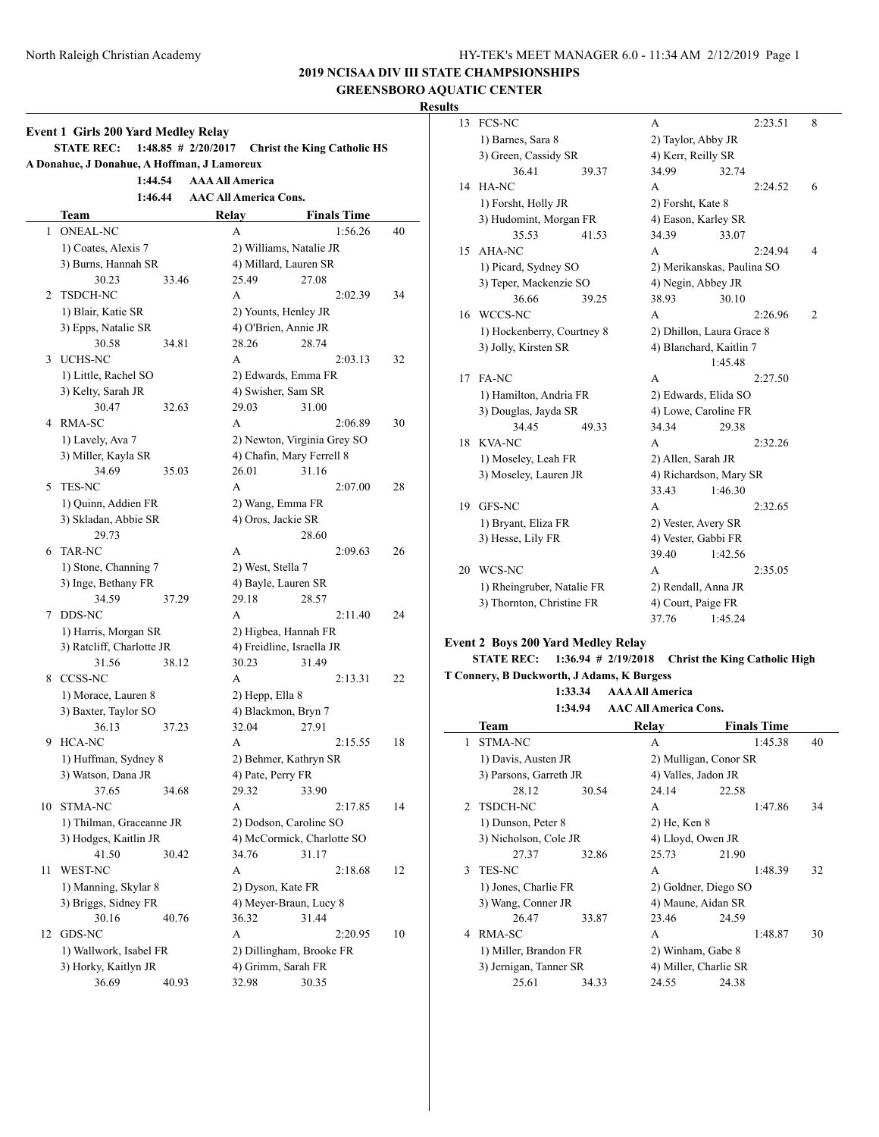**2019 NCISAA DIV III STATE CHAMPSIONSHIPS GREENSBORO AQUATIC CENTER**

# **Results**

|    | <b>Event 1 Girls 200 Yard Medley Relay</b><br><b>STATE REC:</b> |       | $1:48.85$ # 2/20/2017  |       | <b>Christ the King Catholic HS</b> |                    |    |
|----|-----------------------------------------------------------------|-------|------------------------|-------|------------------------------------|--------------------|----|
|    | A Donahue, J Donahue, A Hoffman, J Lamoreux                     |       |                        |       |                                    |                    |    |
|    | 1:44.54                                                         |       | <b>AAA All America</b> |       |                                    |                    |    |
|    | 1:46.44                                                         |       |                        |       | <b>AAC All America Cons.</b>       |                    |    |
|    | Team                                                            |       |                        | Relay |                                    | <b>Finals Time</b> |    |
| 1  | <b>ONEAL-NC</b>                                                 |       |                        | A     |                                    | 1:56.26            | 40 |
|    | 1) Coates, Alexis 7                                             |       |                        |       | 2) Williams, Natalie JR            |                    |    |
|    | 3) Burns, Hannah SR                                             |       |                        |       | 4) Millard, Lauren SR              |                    |    |
|    | 30.23                                                           | 33.46 |                        | 25.49 | 27.08                              |                    |    |
| 2  | <b>TSDCH-NC</b>                                                 |       |                        | А     |                                    | 2:02.39            | 34 |
|    | 1) Blair, Katie SR                                              |       |                        |       | 2) Younts, Henley JR               |                    |    |
|    | 3) Epps, Natalie SR                                             |       |                        |       | 4) O'Brien, Annie JR               |                    |    |
|    | 30.58                                                           | 34.81 |                        | 28.26 | 28.74                              |                    |    |
| 3  | UCHS-NC                                                         |       |                        | A     |                                    | 2:03.13            | 32 |
|    | 1) Little, Rachel SO                                            |       |                        |       | 2) Edwards, Emma FR                |                    |    |
|    | 3) Kelty, Sarah JR                                              |       |                        |       | 4) Swisher, Sam SR                 |                    |    |
|    | 30.47                                                           | 32.63 |                        | 29.03 | 31.00                              |                    |    |
| 4  | RMA-SC                                                          |       |                        | A     |                                    | 2:06.89            | 30 |
|    | 1) Lavely, Ava 7                                                |       |                        |       | 2) Newton, Virginia Grey SO        |                    |    |
|    | 3) Miller, Kayla SR                                             |       |                        |       | 4) Chafin, Mary Ferrell 8          |                    |    |
|    | 34.69                                                           | 35.03 |                        | 26.01 | 31.16                              |                    |    |
| 5  | <b>TES-NC</b>                                                   |       |                        | A     |                                    | 2:07.00            | 28 |
|    | 1) Quinn, Addien FR                                             |       |                        |       | 2) Wang, Emma FR                   |                    |    |
|    | 3) Skladan, Abbie SR                                            |       |                        |       | 4) Oros, Jackie SR                 |                    |    |
|    | 29.73                                                           |       |                        |       | 28.60                              |                    |    |
| 6  | <b>TAR-NC</b>                                                   |       |                        | А     |                                    | 2:09.63            | 26 |
|    | 1) Stone, Channing 7                                            |       |                        |       | 2) West, Stella 7                  |                    |    |
|    | 3) Inge, Bethany FR                                             |       |                        | 29.18 | 4) Bayle, Lauren SR                |                    |    |
| 7  | 34.59<br>DDS-NC                                                 | 37.29 |                        | A     | 28.57                              | 2:11.40            | 24 |
|    | 1) Harris, Morgan SR                                            |       |                        |       | 2) Higbea, Hannah FR               |                    |    |
|    | 3) Ratcliff, Charlotte JR                                       |       |                        |       | 4) Freidline, Israella JR          |                    |    |
|    | 31.56                                                           | 38.12 |                        | 30.23 | 31.49                              |                    |    |
| 8  | <b>CCSS-NC</b>                                                  |       |                        | A     |                                    | 2:13.31            | 22 |
|    | 1) Morace, Lauren 8                                             |       |                        |       | 2) Hepp, Ella 8                    |                    |    |
|    | 3) Baxter, Taylor SO                                            |       |                        |       | 4) Blackmon, Bryn 7                |                    |    |
|    | 36.13                                                           | 37.23 |                        | 32.04 | 27.91                              |                    |    |
| 9  | HCA-NC                                                          |       |                        | A     |                                    | 2:15.55            | 18 |
|    | 1) Huffman, Sydney 8                                            |       |                        |       | 2) Behmer, Kathryn SR              |                    |    |
|    | 3) Watson, Dana JR                                              |       |                        |       | 4) Pate, Perry FR                  |                    |    |
|    | 37.65                                                           | 34.68 |                        | 29.32 | 33.90                              |                    |    |
| 10 | STMA-NC                                                         |       |                        | А     |                                    | 2:17.85            | 14 |
|    | 1) Thilman, Graceanne JR                                        |       |                        |       | 2) Dodson, Caroline SO             |                    |    |
|    | 3) Hodges, Kaitlin JR                                           |       |                        |       | 4) McCormick, Charlotte SO         |                    |    |
|    | 41.50                                                           | 30.42 |                        | 34.76 | 31.17                              |                    |    |
| 11 | WEST-NC                                                         |       |                        | А     |                                    | 2:18.68            | 12 |
|    | 1) Manning, Skylar 8                                            |       |                        |       | 2) Dyson, Kate FR                  |                    |    |
|    | 3) Briggs, Sidney FR                                            |       |                        |       | 4) Meyer-Braun, Lucy 8             |                    |    |
|    | 30.16                                                           | 40.76 |                        | 36.32 | 31.44                              |                    |    |
| 12 | GDS-NC                                                          |       |                        | А     |                                    | 2:20.95            | 10 |
|    | 1) Wallwork, Isabel FR                                          |       |                        |       | 2) Dillingham, Brooke FR           |                    |    |
|    | 3) Horky, Kaitlyn JR                                            |       |                        |       | 4) Grimm, Sarah FR                 |                    |    |
|    | 36.69                                                           | 40.93 |                        | 32.98 | 30.35                              |                    |    |

| 13 | <b>FCS-NC</b>                             |       | А                   |                            | 2:23.51 | 8              |  |  |
|----|-------------------------------------------|-------|---------------------|----------------------------|---------|----------------|--|--|
|    | 1) Barnes, Sara 8                         |       | 2) Taylor, Abby JR  |                            |         |                |  |  |
|    | 3) Green, Cassidy SR                      |       | 4) Kerr, Reilly SR  |                            |         |                |  |  |
|    | 36.41                                     | 39.37 | 34.99               | 32.74                      |         |                |  |  |
|    | 14 HA-NC                                  |       | А                   |                            | 2:24.52 | 6              |  |  |
|    | 1) Forsht, Holly JR                       |       | 2) Forsht, Kate 8   |                            |         |                |  |  |
|    | 3) Hudomint, Morgan FR                    |       |                     | 4) Eason, Karley SR        |         |                |  |  |
|    | 35.53                                     | 41.53 | 34.39               | 33.07                      |         |                |  |  |
| 15 | AHA-NC                                    |       | А                   |                            | 2:24.94 | $\overline{4}$ |  |  |
|    | 1) Picard, Sydney SO                      |       |                     | 2) Merikanskas, Paulina SO |         |                |  |  |
|    | 3) Teper, Mackenzie SO                    |       | 4) Negin, Abbey JR  |                            |         |                |  |  |
|    | 36.66                                     | 39.25 | 38.93               | 30.10                      |         |                |  |  |
| 16 | WCCS-NC                                   |       | А                   |                            | 2:26.96 | 2              |  |  |
|    | 1) Hockenberry, Courtney 8                |       |                     | 2) Dhillon, Laura Grace 8  |         |                |  |  |
|    | 3) Jolly, Kirsten SR                      |       |                     | 4) Blanchard, Kaitlin 7    |         |                |  |  |
|    |                                           |       |                     | 1:45.48                    |         |                |  |  |
| 17 | FA-NC                                     |       | А                   |                            | 2:27.50 |                |  |  |
|    | 1) Hamilton, Andria FR                    |       |                     | 2) Edwards, Elida SO       |         |                |  |  |
|    | 3) Douglas, Jayda SR                      |       |                     | 4) Lowe, Caroline FR       |         |                |  |  |
|    | 34.45                                     | 49.33 | 34.34               | 29.38                      |         |                |  |  |
| 18 | <b>KVA-NC</b>                             |       | А                   |                            | 2:32.26 |                |  |  |
|    | 1) Moseley, Leah FR                       |       |                     | 2) Allen, Sarah JR         |         |                |  |  |
|    | 3) Moseley, Lauren JR                     |       |                     | 4) Richardson, Mary SR     |         |                |  |  |
|    |                                           |       | 33.43               | 1:46.30                    |         |                |  |  |
| 19 | GFS-NC                                    |       | А                   |                            | 2:32.65 |                |  |  |
|    | 1) Bryant, Eliza FR                       |       | 2) Vester, Avery SR |                            |         |                |  |  |
|    | 3) Hesse, Lily FR                         |       | 4) Vester, Gabbi FR |                            |         |                |  |  |
|    |                                           |       | 39.40               | 1:42.56                    |         |                |  |  |
| 20 | WCS-NC                                    |       | A                   |                            | 2:35.05 |                |  |  |
|    | 1) Rheingruber, Natalie FR                |       |                     | 2) Rendall, Anna JR        |         |                |  |  |
|    | 3) Thornton, Christine FR                 |       | 4) Court, Paige FR  |                            |         |                |  |  |
|    |                                           |       | 37.76               | 1:45.24                    |         |                |  |  |
|    | <b>Event 2 Boys 200 Yard Medley Relay</b> |       |                     |                            |         |                |  |  |
|    |                                           |       |                     |                            |         |                |  |  |

# **STATE REC: 1:36.94 # 2/19/2018 Christ the King Catholic High**

**T Connery, B Duckworth, J Adams, K Burgess**

**1:33.34 AAA All America 1:34.94 AAC All America Cons.**

|               | Team                   |       | Relav                 | <b>Finals Time</b>    |    |  |  |  |
|---------------|------------------------|-------|-----------------------|-----------------------|----|--|--|--|
| 1             | STMA-NC                |       | А                     | 1:45.38               | 40 |  |  |  |
|               | 1) Davis, Austen JR    |       |                       | 2) Mulligan, Conor SR |    |  |  |  |
|               | 3) Parsons, Garreth JR |       | 4) Valles, Jadon JR   |                       |    |  |  |  |
|               | 28.12                  | 30.54 | 24.14                 | 22.58                 |    |  |  |  |
| $\mathcal{D}$ | <b>TSDCH-NC</b>        |       | A                     | 1:47.86               | 34 |  |  |  |
|               | 1) Dunson, Peter 8     |       | 2) He, Ken 8          |                       |    |  |  |  |
|               | 3) Nicholson, Cole JR  |       | 4) Lloyd, Owen JR     |                       |    |  |  |  |
|               | 27.37                  | 32.86 | 25.73                 | 21.90                 |    |  |  |  |
| 3             | <b>TES-NC</b>          |       | A                     | 1:48.39               | 32 |  |  |  |
|               | 1) Jones, Charlie FR   |       |                       | 2) Goldner, Diego SO  |    |  |  |  |
|               | 3) Wang, Conner JR     |       | 4) Maune, Aidan SR    |                       |    |  |  |  |
|               | 26.47                  | 33.87 | 23.46                 | 24.59                 |    |  |  |  |
| 4             | RMA-SC                 |       | A                     | 1:48.87               | 30 |  |  |  |
|               | 1) Miller, Brandon FR  |       | 2) Winham, Gabe 8     |                       |    |  |  |  |
|               | 3) Jernigan, Tanner SR |       | 4) Miller, Charlie SR |                       |    |  |  |  |
|               | 25.61                  | 34.33 | 24.55                 | 24.38                 |    |  |  |  |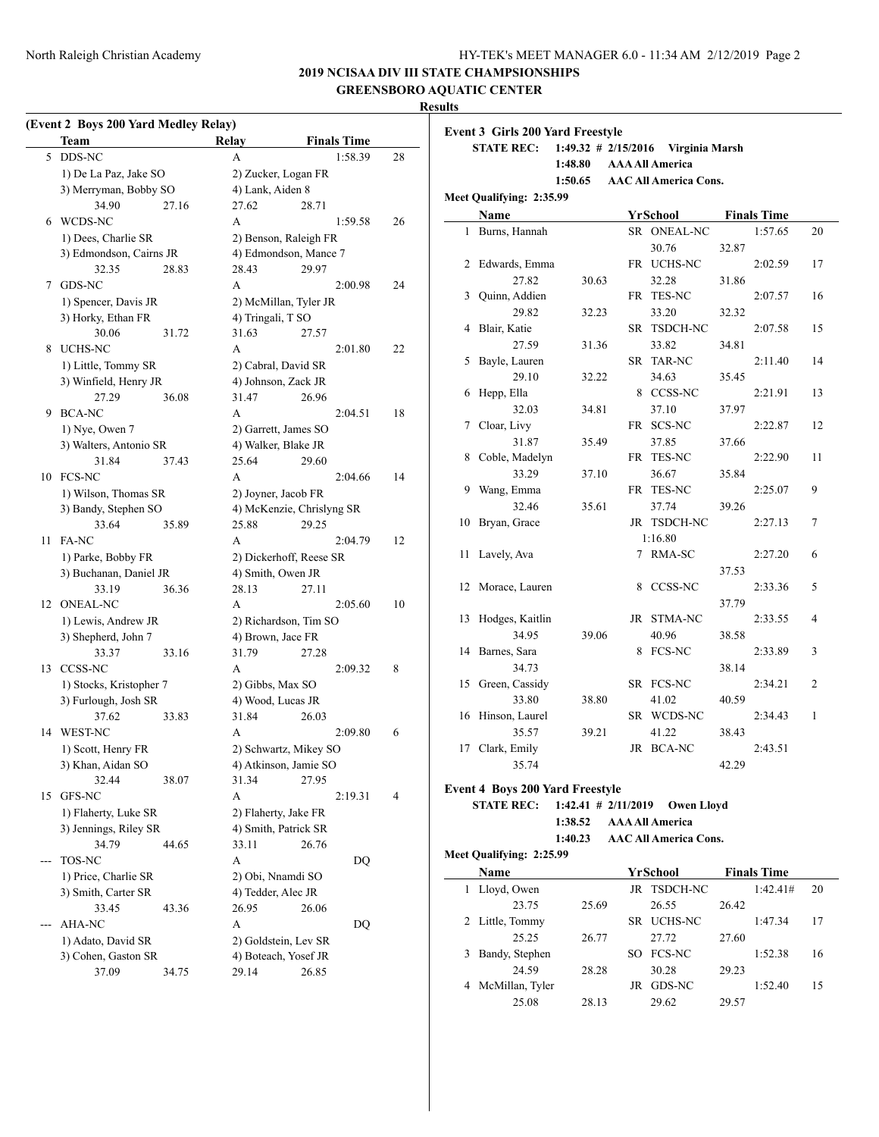# **2019 NCISAA DIV III STATE CHAMPSIONSHIPS**

**GREENSBORO AQUATIC CENTER**

# **Results**

 $\overline{a}$ 

|  | (Event 2 Boys 200 Yard Medley Relay) |  |  |
|--|--------------------------------------|--|--|
|  |                                      |  |  |

|     | EVENT 2 DOYS 200 TATU MEDICY REIAY)<br>Team |       | Relay                 | <b>Finals Time</b>        |    |
|-----|---------------------------------------------|-------|-----------------------|---------------------------|----|
| 5   | DDS-NC                                      |       | A                     | 1:58.39                   | 28 |
|     | 1) De La Paz, Jake SO                       |       | 2) Zucker, Logan FR   |                           |    |
|     | 3) Merryman, Bobby SO                       |       | 4) Lank, Aiden 8      |                           |    |
|     | 34.90                                       | 27.16 | 27.62                 | 28.71                     |    |
| 6   | WCDS-NC                                     |       | А                     | 1:59.58                   | 26 |
|     | 1) Dees, Charlie SR                         |       | 2) Benson, Raleigh FR |                           |    |
|     | 3) Edmondson, Cairns JR                     |       |                       | 4) Edmondson, Mance 7     |    |
|     | 32.35                                       | 28.83 | 28.43                 | 29.97                     |    |
| 7   | GDS-NC                                      |       | A                     | 2:00.98                   | 24 |
|     | 1) Spencer, Davis JR                        |       | 2) McMillan, Tyler JR |                           |    |
|     | 3) Horky, Ethan FR                          |       | 4) Tringali, T SO     |                           |    |
|     | 30.06                                       | 31.72 | 31.63                 |                           |    |
|     |                                             |       |                       | 27.57                     |    |
| 8   | UCHS-NC                                     |       | А                     | 2:01.80                   | 22 |
|     | 1) Little, Tommy SR                         |       | 2) Cabral, David SR   |                           |    |
|     | 3) Winfield, Henry JR                       |       | 4) Johnson, Zack JR   |                           |    |
|     | 27.29                                       | 36.08 | 31.47                 | 26.96                     |    |
| 9   | <b>BCA-NC</b>                               |       | А                     | 2:04.51                   | 18 |
|     | 1) Nye, Owen 7                              |       | 2) Garrett, James SO  |                           |    |
|     | 3) Walters, Antonio SR                      |       | 4) Walker, Blake JR   |                           |    |
|     | 31.84                                       | 37.43 | 25.64                 | 29.60                     |    |
| 10  | <b>FCS-NC</b>                               |       | A                     | 2:04.66                   | 14 |
|     | 1) Wilson, Thomas SR                        |       | 2) Joyner, Jacob FR   |                           |    |
|     | 3) Bandy, Stephen SO                        |       |                       | 4) McKenzie, Chrislyng SR |    |
|     | 33.64                                       | 35.89 | 25.88                 | 29.25                     |    |
| 11  | FA-NC                                       |       | А                     | 2:04.79                   | 12 |
|     | 1) Parke, Bobby FR                          |       |                       | 2) Dickerhoff, Reese SR   |    |
|     | 3) Buchanan, Daniel JR                      |       | 4) Smith, Owen JR     |                           |    |
|     | 33.19                                       | 36.36 | 28.13                 | 27.11                     |    |
| 12  | <b>ONEAL-NC</b>                             |       | A                     | 2:05.60                   | 10 |
|     | 1) Lewis, Andrew JR                         |       | 2) Richardson, Tim SO |                           |    |
|     | 3) Shepherd, John 7                         |       | 4) Brown, Jace FR     |                           |    |
|     | 33.37                                       | 33.16 | 31.79                 | 27.28                     |    |
| 13  | CCSS-NC                                     |       | А                     | 2:09.32                   | 8  |
|     | 1) Stocks, Kristopher 7                     |       | 2) Gibbs, Max SO      |                           |    |
|     | 3) Furlough, Josh SR                        |       | 4) Wood, Lucas JR     |                           |    |
|     | 37.62                                       | 33.83 | 31.84                 | 26.03                     |    |
| 14  | WEST-NC                                     |       | A                     | 2:09.80                   | 6  |
|     | 1) Scott, Henry FR                          |       |                       | 2) Schwartz, Mikey SO     |    |
|     | 3) Khan, Aidan SO                           |       | 4) Atkinson, Jamie SO |                           |    |
|     | 32.44                                       | 38.07 | 31.34                 | 27.95                     |    |
| 15  | GFS-NC                                      |       | А                     | 2:19.31                   | 4  |
|     | 1) Flaherty, Luke SR                        |       | 2) Flaherty, Jake FR  |                           |    |
|     | 3) Jennings, Riley SR                       |       | 4) Smith, Patrick SR  |                           |    |
|     | 34.79                                       | 44.65 | 33.11                 | 26.76                     |    |
| --- | TOS-NC                                      |       | А                     |                           |    |
|     |                                             |       |                       | DQ                        |    |
|     | 1) Price, Charlie SR                        |       | 2) Obi, Nnamdi SO     |                           |    |
|     | 3) Smith, Carter SR                         |       | 4) Tedder, Alec JR    |                           |    |
|     | 33.45                                       | 43.36 | 26.95                 | 26.06                     |    |
|     | <b>AHA-NC</b>                               |       | А                     | DQ                        |    |
|     | 1) Adato, David SR                          |       | 2) Goldstein, Lev SR  |                           |    |
|     | 3) Cohen, Gaston SR                         | 34.75 | 4) Boteach, Yosef JR  |                           |    |
|     | 37.09                                       |       | 29.14                 | 26.85                     |    |

|    | <b>STATE REC:</b>                                           |                       |    | 1:49.32 # 2/15/2016    Virginia Marsh       |       |                    |                |
|----|-------------------------------------------------------------|-----------------------|----|---------------------------------------------|-------|--------------------|----------------|
|    |                                                             | 1:48.80               |    | <b>AAA All America</b>                      |       |                    |                |
|    |                                                             | 1:50.65               |    | <b>AAC All America Cons.</b>                |       |                    |                |
|    | Meet Qualifying: 2:35.99                                    |                       |    |                                             |       |                    |                |
|    | Name                                                        |                       |    | YrSchool                                    |       | <b>Finals Time</b> |                |
| 1  | Burns, Hannah                                               |                       |    | SR ONEAL-NC                                 |       | 1:57.65            | 20             |
|    |                                                             |                       |    | 30.76                                       | 32.87 |                    |                |
| 2  | Edwards, Emma                                               |                       |    | FR UCHS-NC                                  |       | 2:02.59            | 17             |
|    | 27.82                                                       | 30.63                 |    | 32.28                                       | 31.86 |                    |                |
| 3  | Quinn, Addien                                               |                       | FR | <b>TES-NC</b>                               |       | 2:07.57            | 16             |
|    | 29.82                                                       | 32.23                 |    | 33.20                                       | 32.32 |                    |                |
| 4  | Blair, Katie                                                |                       |    | SR TSDCH-NC                                 |       | 2:07.58            | 15             |
|    | 27.59                                                       | 31.36                 |    | 33.82                                       | 34.81 |                    |                |
| 5  | Bayle, Lauren                                               |                       |    | SR TAR-NC                                   |       | 2:11.40            | 14             |
|    | 29.10                                                       | 32.22                 |    | 34.63                                       | 35.45 |                    |                |
| 6  | Hepp, Ella                                                  |                       |    | 8 CCSS-NC                                   |       | 2:21.91            | 13             |
|    | 32.03                                                       | 34.81                 |    | 37.10                                       | 37.97 |                    |                |
| 7  | Cloar, Livy                                                 |                       |    | FR SCS-NC                                   |       | 2:22.87            | 12             |
|    | 31.87                                                       | 35.49                 |    | 37.85                                       | 37.66 |                    |                |
| 8  | Coble, Madelyn                                              |                       |    | FR TES-NC                                   |       | 2:22.90            | 11             |
|    | 33.29                                                       | 37.10                 |    | 36.67                                       | 35.84 |                    |                |
| 9  | Wang, Emma                                                  |                       |    | FR TES-NC                                   |       | 2:25.07            | 9              |
|    | 32.46                                                       | 35.61                 |    | 37.74                                       | 39.26 |                    |                |
| 10 | Bryan, Grace                                                |                       |    | JR TSDCH-NC                                 |       | 2:27.13            | 7              |
|    |                                                             |                       |    | 1:16.80                                     |       |                    |                |
| 11 | Lavely, Ava                                                 |                       |    | 7 RMA-SC                                    |       | 2:27.20            | 6              |
|    |                                                             |                       |    |                                             | 37.53 |                    |                |
| 12 | Morace, Lauren                                              |                       |    | 8 CCSS-NC                                   |       | 2:33.36            | 5              |
|    |                                                             |                       |    |                                             | 37.79 |                    |                |
| 13 | Hodges, Kaitlin                                             |                       |    | JR STMA-NC                                  |       | 2:33.55            | 4              |
|    | 34.95                                                       | 39.06                 |    | 40.96                                       | 38.58 |                    |                |
| 14 | Barnes, Sara                                                |                       | 8  | <b>FCS-NC</b>                               |       | 2:33.89            | 3              |
|    | 34.73                                                       |                       |    |                                             | 38.14 |                    |                |
|    | 15 Green, Cassidy                                           |                       |    | SR FCS-NC                                   |       | 2:34.21            | $\overline{2}$ |
|    | 33.80                                                       | 38.80                 |    | 41.02                                       | 40.59 |                    |                |
| 16 | Hinson, Laurel                                              |                       |    | SR WCDS-NC                                  |       | 2:34.43            | 1              |
|    | 35.57                                                       | 39.21                 |    | 41.22                                       | 38.43 |                    |                |
| 17 | Clark, Emily                                                |                       |    | JR BCA-NC                                   |       | 2:43.51            |                |
|    | 35.74                                                       |                       |    |                                             | 42.29 |                    |                |
|    |                                                             |                       |    |                                             |       |                    |                |
|    | <b>Event 4 Boys 200 Yard Freestyle</b><br><b>STATE REC:</b> | $1:42.41$ # 2/11/2019 |    |                                             |       |                    |                |
|    |                                                             | 1:38.52               |    | <b>Owen Lloyd</b><br><b>AAA All America</b> |       |                    |                |
|    |                                                             | 1:40.23               |    | <b>AAC All America Cons.</b>                |       |                    |                |
|    |                                                             |                       |    |                                             |       |                    |                |
|    | Meet Qualifying: 2:25.99                                    |                       |    |                                             |       |                    |                |

| Name            |       |     | YrSchool       | <b>Finals Time</b> |          |    |
|-----------------|-------|-----|----------------|--------------------|----------|----|
| Lloyd, Owen     |       |     | JR TSDCH-NC    |                    | 1:42.41# | 20 |
| 23.75           | 25.69 |     | 26.55          | 26.42              |          |    |
| 2 Little, Tommy |       | SR. | <b>UCHS-NC</b> |                    | 1:47.34  | 17 |
| 25.25           | 26.77 |     | 27.72          | 27.60              |          |    |
| Bandy, Stephen  |       | SO. | <b>FCS-NC</b>  |                    | 1:52.38  | 16 |
| 24.59           | 28.28 |     | 30.28          | 29.23              |          |    |
| McMillan, Tyler |       | JR  | GDS-NC         |                    | 1:52.40  | 15 |
| 25.08           | 28.13 |     | 29.62          | 29.57              |          |    |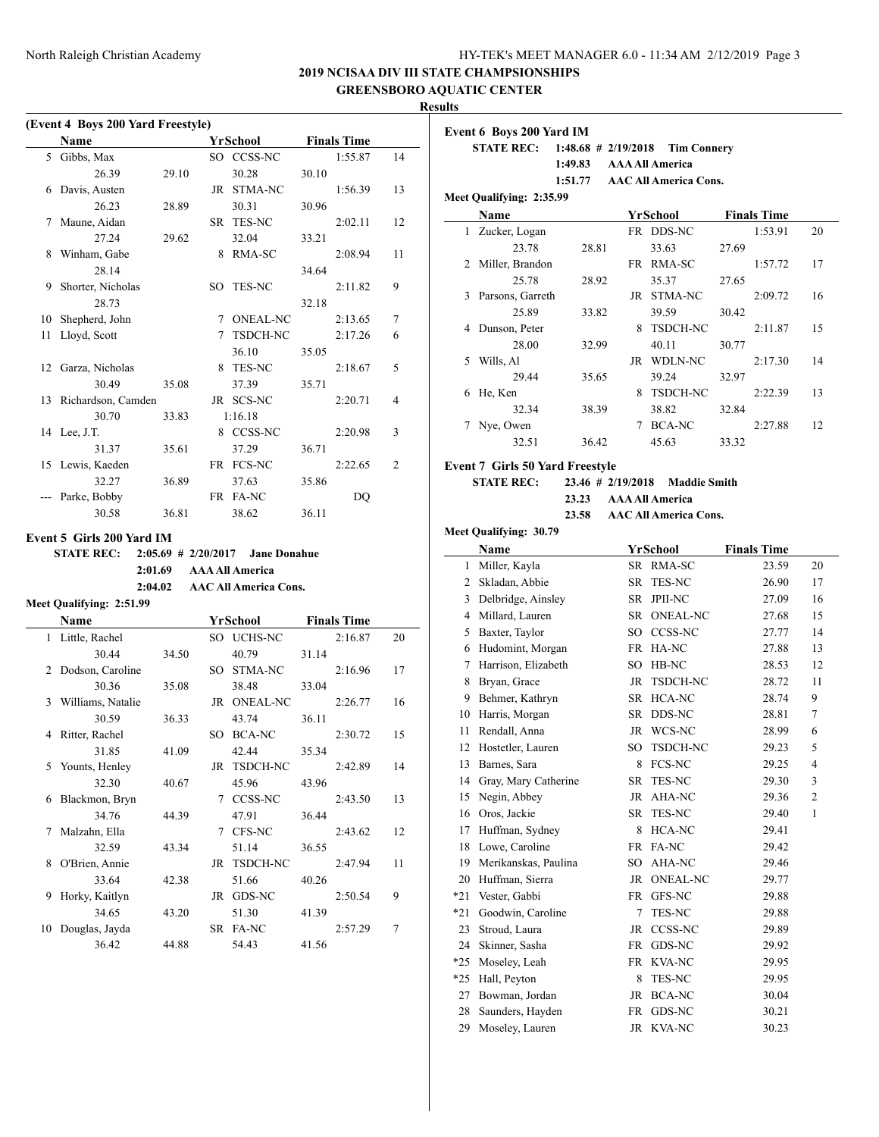**STATE REC: 1:48.68 # 2/19/2018 Tim Connery**

# **2019 NCISAA DIV III STATE CHAMPSIONSHIPS**

**GREENSBORO AQUATIC CENTER**

**Results (Event 4 Boys 200 Yard Freestyle) Event 6 Boys 200 Yard IM Name Yr School Finals Time** 5 Gibbs, Max SO CCSS-NC 1:55.87 14 26.39 29.10 30.28 30.10 6 Davis, Austen JR STMA-NC 1:56.39 13 26.23 28.89 30.31 30.96 7 Maune, Aidan SR TES-NC 2:02.11 12  $\ddot{\phantom{a}}$ 27.24 29.62 32.04 33.21 8 Winham, Gabe 8 RMA-SC 2:08.94 11 28.14 34.64 9 Shorter, Nicholas SO TES-NC 2:11.82 9 28.73 32.18 10 Shepherd, John 7 ONEAL-NC 2:13.65 7 11 Lloyd, Scott 7 TSDCH-NC 2:17.26 6 36.10 35.05 12 Garza, Nicholas 8 TES-NC 2:18.67 5 30.49 35.08 37.39 35.71 13 Richardson, Camden JR SCS-NC 2:20.71 4 30.70 33.83 1:16.18 14 Lee, J.T. 8 CCSS-NC 2:20.98 3 31.37 35.61 37.29 36.71 15 Lewis, Kaeden FR FCS-NC 2:22.65 2 32.27 36.89 37.63 35.86 Parke, Bobby FR FA-NC DO 30.58 36.81 38.62 36.11 **Event 5 Girls 200 Yard IM STATE REC: 2:05.69 # 2/20/2017 Jane Donahue** j. **2:01.69 AAA All America 2:04.02 AAC All America Cons. Meet Qualifying: 2:51.99 Name Yr School Finals Time** 1 Little, Rachel SO UCHS-NC 2:16.87 20 30.44 34.50 40.79 31.14 2 Dodson, Caroline SO STMA-NC 2:16.96 17 30.36 35.08 38.48 33.04 3 Williams, Natalie JR ONEAL-NC 2:26.77 16 30.59 36.33 43.74 36.11 4 Ritter, Rachel SO BCA-NC 2:30.72 15 31.85 41.09 42.44 35.34 5 Younts, Henley JR TSDCH-NC 2:42.89 14 32.30 40.67 45.96 43.96 6 Blackmon, Bryn 7 CCSS-NC 2:43.50 13 34.76 44.39 47.91 36.44 7 Malzahn, Ella 7 CFS-NC 2:43.62 12 32.59 43.34 51.14 36.55 8 O'Brien, Annie JR TSDCH-NC 2:47.94 11 33.64 42.38 51.66 40.26

9 Horky, Kaitlyn JR GDS-NC 2:50.54 9 34.65 43.20 51.30 41.39 10 Douglas, Jayda SR FA-NC 2:57.29 7 36.42 44.88 54.43 41.56

|       |                                                             | 1:49.83           |    | <b>AAA All America</b>       |       |                    |                         |
|-------|-------------------------------------------------------------|-------------------|----|------------------------------|-------|--------------------|-------------------------|
|       |                                                             | 1:51.77           |    | <b>AAC All America Cons.</b> |       |                    |                         |
|       | Meet Qualifying: 2:35.99                                    |                   |    |                              |       |                    |                         |
|       | Name                                                        |                   |    | YrSchool                     |       | <b>Finals Time</b> |                         |
|       | 1 Zucker, Logan                                             |                   |    | FR DDS-NC                    |       | 1:53.91            | 20                      |
|       | 23.78                                                       | 28.81             |    | 33.63                        | 27.69 |                    |                         |
| 2     | Miller, Brandon                                             |                   |    | FR RMA-SC                    |       | 1:57.72            | 17                      |
|       | 25.78                                                       | 28.92             |    | 35.37                        | 27.65 |                    |                         |
| 3     | Parsons, Garreth                                            |                   |    | JR STMA-NC                   |       | 2:09.72            | 16                      |
|       | 25.89                                                       | 33.82             |    | 39.59                        | 30.42 |                    |                         |
| 4     | Dunson, Peter                                               |                   | 8  | TSDCH-NC                     |       | 2:11.87            | 15                      |
|       | 28.00                                                       | 32.99             |    | 40.11                        | 30.77 |                    |                         |
| 5     | Wills, Al                                                   |                   |    | JR WDLN-NC                   |       | 2:17.30            | 14                      |
|       | 29.44                                                       | 35.65             |    | 39.24                        | 32.97 |                    |                         |
| 6     | He, Ken                                                     |                   |    | 8 TSDCH-NC                   |       | 2:22.39            | 13                      |
|       | 32.34                                                       | 38.39             |    | 38.82                        | 32.84 |                    |                         |
| 7     | Nye, Owen                                                   |                   |    | 7 BCA-NC                     |       | 2:27.88            | 12                      |
|       | 32.51                                                       | 36.42             |    | 45.63                        | 33.32 |                    |                         |
|       |                                                             |                   |    |                              |       |                    |                         |
|       | <b>Event 7 Girls 50 Yard Freestyle</b><br><b>STATE REC:</b> | 23.46 # 2/19/2018 |    | <b>Maddie Smith</b>          |       |                    |                         |
|       |                                                             | 23.23             |    | <b>AAA All America</b>       |       |                    |                         |
|       |                                                             | 23.58             |    | <b>AAC All America Cons.</b> |       |                    |                         |
|       | Meet Qualifying: 30.79                                      |                   |    |                              |       |                    |                         |
|       |                                                             |                   |    | <b>YrSchool</b>              |       |                    |                         |
|       | Name                                                        |                   |    |                              |       | <b>Finals Time</b> |                         |
| 1     | Miller, Kayla                                               |                   |    | SR RMA-SC                    |       | 23.59              | 20                      |
| 2     | Skladan, Abbie                                              |                   | SR | TES-NC                       |       | 26.90              | 17                      |
|       | 3 Delbridge, Ainsley                                        |                   |    | SR JPII-NC                   |       | 27.09              | 16                      |
|       | 4 Millard, Lauren                                           |                   | SR | <b>ONEAL-NC</b>              |       | 27.68              | 15                      |
| 5     | Baxter, Taylor                                              |                   |    | SO CCSS-NC                   |       | 27.77              | 14                      |
| 6     | Hudomint, Morgan                                            |                   |    | FR HA-NC                     |       | 27.88              | 13                      |
| 7     | Harrison, Elizabeth                                         |                   |    | SO HB-NC                     |       | 28.53              | 12                      |
| 8     | Bryan, Grace                                                |                   |    | JR TSDCH-NC                  |       | 28.72              | 11                      |
| 9     | Behmer, Kathryn                                             |                   |    | SR HCA-NC                    |       | 28.74              | 9                       |
| 10    | Harris, Morgan                                              |                   |    | SR DDS-NC                    |       | 28.81              | 7                       |
| 11    | Rendall, Anna                                               |                   |    | JR WCS-NC                    |       | 28.99              | 6                       |
| 12    | Hostetler, Lauren                                           |                   |    | SO TSDCH-NC                  |       | 29.23              | 5                       |
| 13    | Barnes, Sara                                                |                   | 8  | FCS-NC                       |       | 29.25              | 4                       |
| 14    | Gray, Mary Catherine                                        |                   |    | SR TES-NC                    |       | 29.30              | 3                       |
|       | 15 Negin, Abbey                                             |                   |    | JR AHA-NC                    |       | 29.36              | $\overline{\mathbf{c}}$ |
| 16    | Oros, Jackie                                                |                   | SR | TES-NC                       |       | 29.40              | 1                       |
| 17    | Huffman, Sydney                                             |                   | 8  | HCA-NC                       |       | 29.41              |                         |
| 18    | Lowe, Caroline                                              |                   | FR | FA-NC                        |       | 29.42              |                         |
| 19    | Merikanskas, Paulina                                        |                   | SO | AHA-NC                       |       | 29.46              |                         |
| 20    | Huffman, Sierra                                             |                   | JR | <b>ONEAL-NC</b>              |       | 29.77              |                         |
| $*21$ | Vester, Gabbi                                               |                   |    | FR GFS-NC                    |       | 29.88              |                         |
| $*21$ | Goodwin, Caroline                                           |                   | 7  | TES-NC                       |       | 29.88              |                         |
| 23    | Stroud, Laura                                               |                   | JR | CCSS-NC                      |       | 29.89              |                         |
| 24    | Skinner, Sasha                                              |                   | FR | GDS-NC                       |       | 29.92              |                         |
| $*25$ | Moseley, Leah                                               |                   | FR | KVA-NC                       |       | 29.95              |                         |
| $*25$ | Hall, Peyton                                                |                   | 8  | TES-NC                       |       | 29.95              |                         |
| 27    | Bowman, Jordan                                              |                   | JR | BCA-NC                       |       | 30.04              |                         |
| 28    | Saunders, Hayden                                            |                   | FR | GDS-NC                       |       | 30.21              |                         |
| 29    | Moseley, Lauren                                             |                   |    | JR KVA-NC                    |       | 30.23              |                         |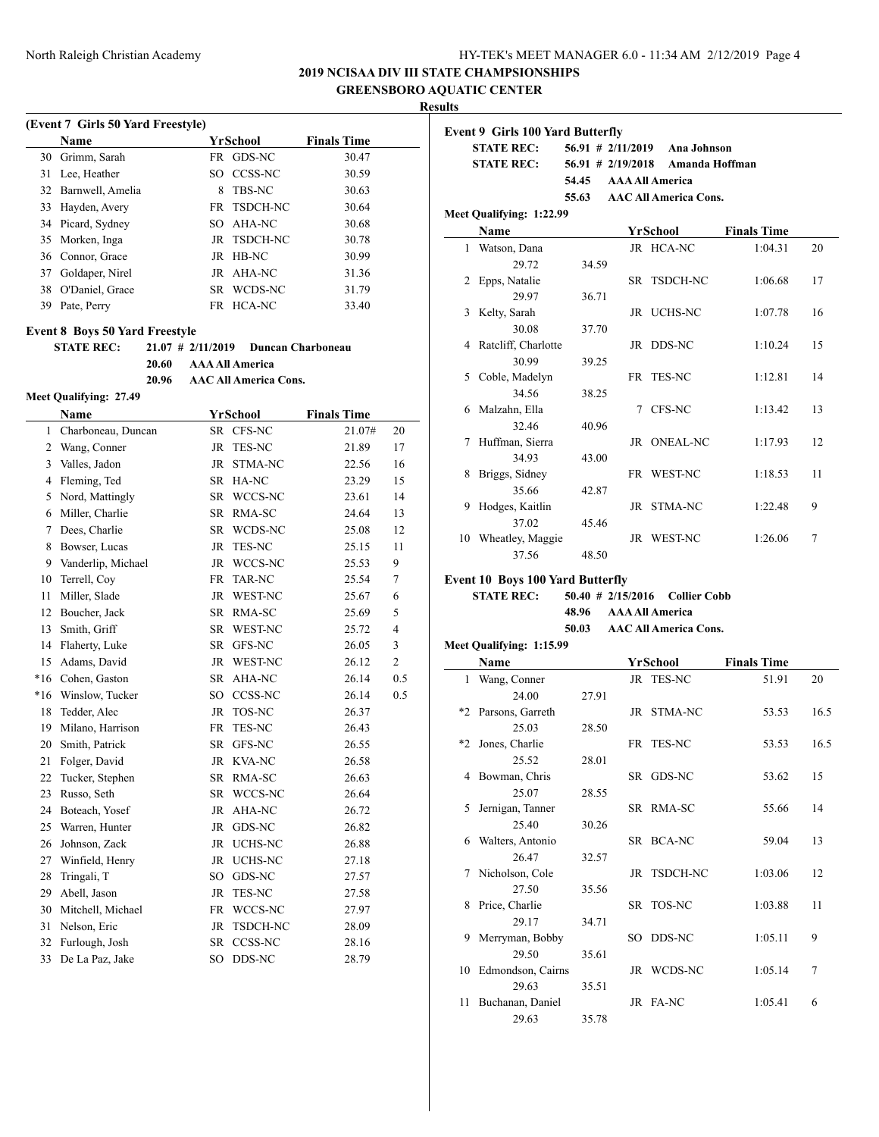# **2019 NCISAA DIV III STATE CHAMPSIONSHIPS**

**GREENSBORO AQUATIC CENTER**

**Results**

 $\overline{\phantom{0}}$ 

|    | <b>Name</b>         | YrSchool           | <b>Finals Time</b> |
|----|---------------------|--------------------|--------------------|
|    | 30 Grimm, Sarah     | FR GDS-NC          | 30.47              |
| 31 | Lee, Heather        | CCSS-NC<br>SO.     | 30.59              |
|    | 32 Barnwell, Amelia | <b>TBS-NC</b><br>8 | 30.63              |
| 33 | Hayden, Avery       | FR TSDCH-NC        | 30.64              |
|    | 34 Picard, Sydney   | SO AHA-NC          | 30.68              |
|    | 35 Morken, Inga     | JR TSDCH-NC        | 30.78              |
|    | 36 Connor, Grace    | JR HB-NC           | 30.99              |
| 37 | Goldaper, Nirel     | JR AHA-NC          | 31.36              |
|    | 38 O'Daniel, Grace  | SR WCDS-NC         | 31.79              |
| 39 | Pate, Perry         | FR HCA-NC          | 33.40              |

# **STATE REC: 21.07 # 2/11/2019 Duncan Charboneau**

**20.60 AAA All America**

**20.96 AAC All America Cons.**

#### **Meet Qualifying: 27.49**

|                | <b>Name</b>        |           | YrSchool       | <b>Finals Time</b> |                |
|----------------|--------------------|-----------|----------------|--------------------|----------------|
| 1              | Charboneau, Duncan |           | SR CFS-NC      | 21.07#             | 20             |
| $\overline{2}$ | Wang, Conner       | <b>JR</b> | TES-NC         | 21.89              | 17             |
| 3              | Valles, Jadon      | JR        | STMA-NC        | 22.56              | 16             |
| 4              | Fleming, Ted       | SR        | HA-NC          | 23.29              | 15             |
| 5              | Nord, Mattingly    |           | SR WCCS-NC     | 23.61              | 14             |
| 6              | Miller, Charlie    |           | SR RMA-SC      | 24.64              | 13             |
| 7              | Dees, Charlie      | SR        | WCDS-NC        | 25.08              | 12             |
| 8              | Bowser, Lucas      | <b>JR</b> | TES-NC         | 25.15              | 11             |
| 9              | Vanderlip, Michael | JR        | WCCS-NC        | 25.53              | 9              |
| 10             | Terrell, Coy       | FR        | <b>TAR-NC</b>  | 25.54              | $\tau$         |
| 11             | Miller, Slade      | JR        | WEST-NC        | 25.67              | 6              |
| 12             | Boucher, Jack      |           | SR RMA-SC      | 25.69              | 5              |
| 13             | Smith, Griff       | SR        | WEST-NC        | 25.72              | $\overline{4}$ |
| 14             | Flaherty, Luke     | SR        | GFS-NC         | 26.05              | 3              |
| 15             | Adams, David       | JR        | WEST-NC        | 26.12              | $\overline{c}$ |
| $*16$          | Cohen, Gaston      | SR        | AHA-NC         | 26.14              | 0.5            |
| $*16$          | Winslow, Tucker    | SO        | CCSS-NC        | 26.14              | 0.5            |
| 18             | Tedder, Alec       | JR        | TOS-NC         | 26.37              |                |
| 19             | Milano, Harrison   | <b>FR</b> | TES-NC         | 26.43              |                |
| 20             | Smith, Patrick     | <b>SR</b> | GFS-NC         | 26.55              |                |
| 21             | Folger, David      | JR        | KVA-NC         | 26.58              |                |
| 22             | Tucker, Stephen    | SR        | RMA-SC         | 26.63              |                |
| 23             | Russo, Seth        | SR        | WCCS-NC        | 26.64              |                |
| 24             | Boteach, Yosef     | JR        | AHA-NC         | 26.72              |                |
| 25             | Warren, Hunter     | <b>JR</b> | GDS-NC         | 26.82              |                |
| 26             | Johnson, Zack      | JR        | <b>UCHS-NC</b> | 26.88              |                |
| 27             | Winfield, Henry    | JR        | UCHS-NC        | 27.18              |                |
| 28             | Tringali, T        | SO        | GDS-NC         | 27.57              |                |
| 29             | Abell, Jason       | JR        | TES-NC         | 27.58              |                |
| 30             | Mitchell, Michael  | FR        | WCCS-NC        | 27.97              |                |
| 31             | Nelson, Eric       | <b>JR</b> | TSDCH-NC       | 28.09              |                |
| 32             | Furlough, Josh     | SR        | CCSS-NC        | 28.16              |                |
| 33             | De La Paz, Jake    | SO.       | DDS-NC         | 28.79              |                |
|                |                    |           |                |                    |                |

|   | <b>Event 9 Girls 100 Yard Butterfly</b><br><b>STATE REC:</b> |                      | 56.91 # 2/11/2019 Ana Johnson |                    |    |
|---|--------------------------------------------------------------|----------------------|-------------------------------|--------------------|----|
|   | <b>STATE REC:</b>                                            | $56.91 \# 2/19/2018$ | Amanda Hoffman                |                    |    |
|   |                                                              | 54.45                | <b>AAA All America</b>        |                    |    |
|   |                                                              | 55.63                | <b>AAC All America Cons.</b>  |                    |    |
|   | Meet Qualifying: 1:22.99                                     |                      |                               |                    |    |
|   | Name                                                         |                      | YrSchool                      | <b>Finals Time</b> |    |
|   | 1 Watson, Dana                                               |                      | JR HCA-NC                     | 1:04.31            | 20 |
|   | 29.72                                                        | 34.59                |                               |                    |    |
|   | 2 Epps, Natalie                                              |                      | SR TSDCH-NC                   | 1:06.68            | 17 |
|   | 29.97                                                        | 36.71                |                               |                    |    |
| 3 | Kelty, Sarah                                                 |                      | JR UCHS-NC                    | 1:07.78            | 16 |
|   | 30.08                                                        | 37.70                |                               |                    |    |
|   | 4 Ratcliff, Charlotte                                        |                      | JR DDS-NC                     | 1:10.24            | 15 |
|   | 30.99                                                        | 39.25                |                               |                    |    |
|   | 5 Coble, Madelyn                                             |                      | FR TES-NC                     | 1:12.81            | 14 |
|   | 34.56                                                        | 38.25                |                               |                    |    |
|   | 6 Malzahn, Ella                                              |                      | 7 CFS-NC                      | 1:13.42            | 13 |
|   | 32.46                                                        | 40.96                |                               |                    |    |
| 7 | Huffman, Sierra                                              |                      | JR ONEAL-NC                   | 1:17.93            | 12 |
|   | 34.93                                                        | 43.00                |                               |                    |    |
| 8 | Briggs, Sidney                                               |                      | FR WEST-NC                    | 1:18.53            | 11 |
|   | 35.66                                                        | 42.87                |                               |                    |    |
| 9 | Hodges, Kaitlin                                              |                      | JR STMA-NC                    | 1:22.48            | 9  |
|   | 37.02                                                        | 45.46                |                               |                    |    |
|   | 10 Wheatley, Maggie                                          |                      | JR WEST-NC                    | 1:26.06            | 7  |
|   | 37.56                                                        | 48.50                |                               |                    |    |
|   | <b>Event 10 Boys 100 Yard Butterfly</b>                      |                      |                               |                    |    |
|   | <b>STATE REC:</b>                                            | $50.40$ # 2/15/2016  | <b>Collier Cobb</b>           |                    |    |
|   |                                                              | 48.96                | <b>AAA All America</b>        |                    |    |

**50.03 AAC All America Cons.**

**Meet Qualifying: 1:15.99**

 $\overline{\phantom{a}}$ 

|              | Name                 |       | YrSchool    | <b>Finals Time</b> |      |
|--------------|----------------------|-------|-------------|--------------------|------|
| $\mathbf{1}$ | Wang, Conner         |       | JR TES-NC   | 51.91              | 20   |
|              | 24.00                | 27.91 |             |                    |      |
| $*2$         | Parsons, Garreth     |       | JR STMA-NC  | 53.53              | 16.5 |
|              | 25.03                | 28.50 |             |                    |      |
| $*2$         | Jones, Charlie       |       | FR TES-NC   | 53.53              | 16.5 |
|              | 25.52                | 28.01 |             |                    |      |
|              | 4 Bowman, Chris      |       | SR GDS-NC   | 53.62              | 15   |
|              | 25.07                | 28.55 |             |                    |      |
| 5.           | Jernigan, Tanner     |       | SR RMA-SC   | 55.66              | 14   |
|              | 25.40                | 30.26 |             |                    |      |
| 6            | Walters, Antonio     |       | SR BCA-NC   | 59.04              | 13   |
|              | 26.47                | 32.57 |             |                    |      |
| 7            | Nicholson, Cole      |       | JR TSDCH-NC | 1:03.06            | 12   |
|              | 27.50                | 35.56 |             |                    |      |
| 8            | Price, Charlie       |       | SR TOS-NC   | 1:03.88            | 11   |
|              | 29.17                | 34.71 |             |                    |      |
| 9.           | Merryman, Bobby      |       | SO DDS-NC   | 1:05.11            | 9    |
|              | 29.50                | 35.61 |             |                    |      |
|              | 10 Edmondson, Cairns |       | JR WCDS-NC  | 1:05.14            | 7    |
|              | 29.63                | 35.51 |             |                    |      |
| 11           | Buchanan, Daniel     |       | JR FA-NC    | 1:05.41            | 6    |
|              | 29.63                | 35.78 |             |                    |      |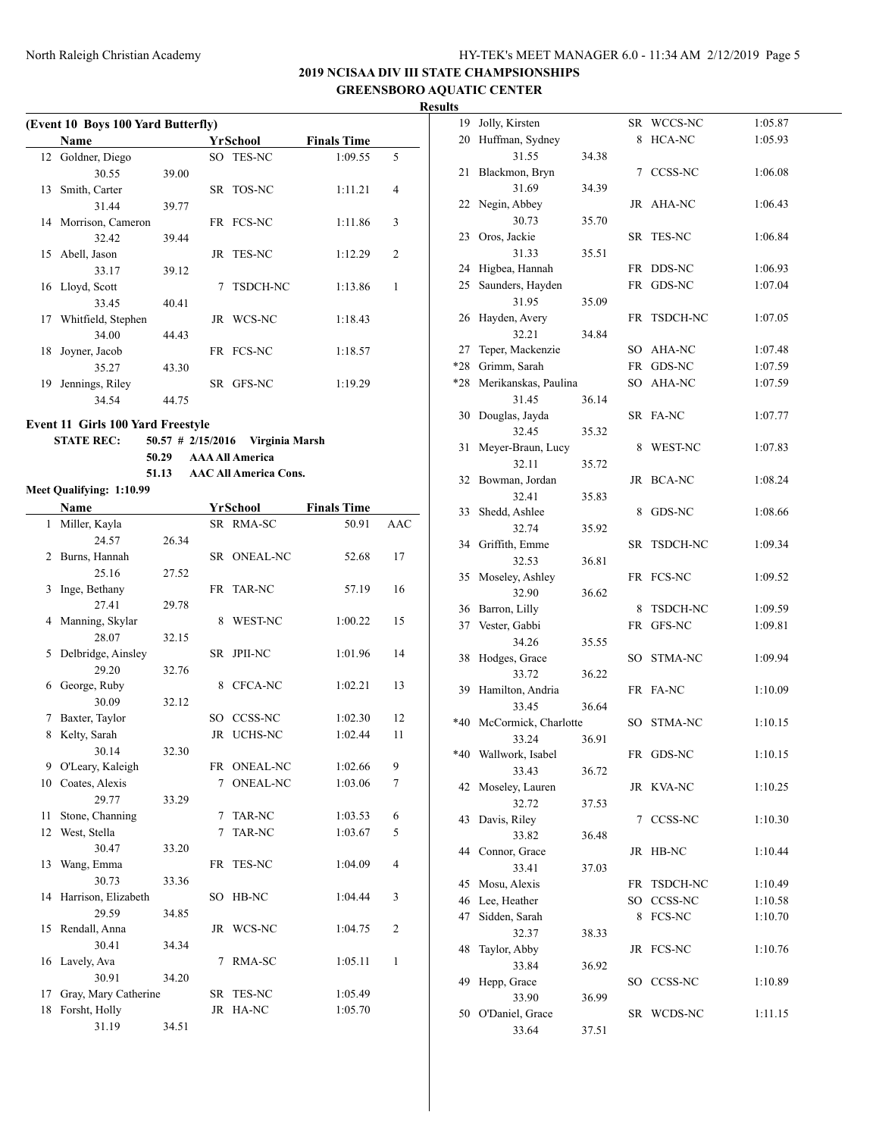# **2019 NCISAA DIV III STATE CHAMPSIONSHIPS GREENSBORO AQUATIC CENTER**

# **Results**

|    | (Event 10 Boys 100 Yard Butterfly) |       |   |                 |                    |                |  |  |  |  |  |  |
|----|------------------------------------|-------|---|-----------------|--------------------|----------------|--|--|--|--|--|--|
|    | Name                               |       |   | YrSchool        | <b>Finals Time</b> |                |  |  |  |  |  |  |
|    | 12 Goldner, Diego                  |       |   | SO TES-NC       | 1:09.55            | 5              |  |  |  |  |  |  |
|    | 30.55                              | 39.00 |   |                 |                    |                |  |  |  |  |  |  |
| 13 | Smith, Carter                      |       |   | SR TOS-NC       | 1:11.21            | $\overline{4}$ |  |  |  |  |  |  |
|    | 31.44                              | 39.77 |   |                 |                    |                |  |  |  |  |  |  |
|    | 14 Morrison, Cameron               |       |   | FR FCS-NC       | 1:11.86            | 3              |  |  |  |  |  |  |
|    | 32.42                              | 39.44 |   |                 |                    |                |  |  |  |  |  |  |
| 15 | Abell, Jason                       |       |   | JR TES-NC       | 1:12.29            | $\overline{c}$ |  |  |  |  |  |  |
|    | 33.17                              | 39.12 |   |                 |                    |                |  |  |  |  |  |  |
|    | 16 Lloyd, Scott                    |       | 7 | <b>TSDCH-NC</b> | 1:13.86            | 1              |  |  |  |  |  |  |
|    | 33.45                              | 40.41 |   |                 |                    |                |  |  |  |  |  |  |
| 17 | Whitfield, Stephen                 |       |   | JR WCS-NC       | 1:18.43            |                |  |  |  |  |  |  |
|    | 34.00                              | 44.43 |   |                 |                    |                |  |  |  |  |  |  |
| 18 | Joyner, Jacob                      |       |   | FR FCS-NC       | 1:18.57            |                |  |  |  |  |  |  |
|    | 35.27                              | 43.30 |   |                 |                    |                |  |  |  |  |  |  |
| 19 | Jennings, Riley                    |       |   | SR GFS-NC       | 1:19.29            |                |  |  |  |  |  |  |
|    | 34.54                              | 44.75 |   |                 |                    |                |  |  |  |  |  |  |

#### **Event 11 Girls 100 Yard Freestyle**

**STATE REC: 50.57 # 2/15/2016 Virginia Marsh 50.29 AAA All America**

**51.13 AAC All America Cons.**

# **Meet Qualifying: 1:10.99**

|              | Name                 |       | YrSchool  |                 | <b>Finals Time</b> |                |
|--------------|----------------------|-------|-----------|-----------------|--------------------|----------------|
| $\mathbf{1}$ | Miller, Kayla        |       |           | SR RMA-SC       | 50.91              | <b>AAC</b>     |
|              | 24.57                | 26.34 |           |                 |                    |                |
| 2            | Burns, Hannah        |       |           | SR ONEAL-NC     | 52.68              | 17             |
|              | 25.16                | 27.52 |           |                 |                    |                |
| 3            | Inge, Bethany        |       | FR        | <b>TAR-NC</b>   | 57.19              | 16             |
|              | 27.41                | 29.78 |           |                 |                    |                |
| 4            | Manning, Skylar      |       | 8         | WEST-NC         | 1:00.22            | 15             |
|              | 28.07                | 32.15 |           |                 |                    |                |
| 5            | Delbridge, Ainsley   |       |           | SR JPII-NC      | 1:01.96            | 14             |
|              | 29.20                | 32.76 |           |                 |                    |                |
| 6            | George, Ruby         |       | 8         | CFCA-NC         | 1:02.21            | 13             |
|              | 30.09                | 32.12 |           |                 |                    |                |
| 7            | Baxter, Taylor       |       | SO.       | CCSS-NC         | 1:02.30            | 12             |
| 8            | Kelty, Sarah         |       | <b>JR</b> | <b>UCHS-NC</b>  | 1:02.44            | 11             |
|              | 30.14                | 32.30 |           |                 |                    |                |
| 9            | O'Leary, Kaleigh     |       | FR        | <b>ONEAL-NC</b> | 1:02.66            | 9              |
| 10           | Coates, Alexis       |       | 7         | <b>ONEAL-NC</b> | 1:03.06            | 7              |
|              | 29.77                | 33.29 |           |                 |                    |                |
| 11           | Stone, Channing      |       | 7         | <b>TAR-NC</b>   | 1:03.53            | 6              |
| 12           | West, Stella         |       | 7         | <b>TAR-NC</b>   | 1:03.67            | 5              |
|              | 30.47                | 33.20 |           |                 |                    |                |
| 13           | Wang, Emma           |       | FR        | <b>TES-NC</b>   | 1:04.09            | $\overline{4}$ |
|              | 30.73                | 33.36 |           |                 |                    |                |
| 14           | Harrison, Elizabeth  |       | SO.       | HB-NC           | 1:04.44            | 3              |
|              | 29.59                | 34.85 |           |                 |                    |                |
| 15           | Rendall, Anna        |       | <b>JR</b> | WCS-NC          | 1:04.75            | $\overline{c}$ |
|              | 30.41                | 34.34 |           |                 |                    |                |
| 16           | Lavely, Ava          |       | 7         | RMA-SC          | 1:05.11            | 1              |
|              | 30.91                | 34.20 |           |                 |                    |                |
| 17           | Gray, Mary Catherine |       | SR        | <b>TES-NC</b>   | 1:05.49            |                |
| 18           | Forsht, Holly        |       | JR        | HA-NC           | 1:05.70            |                |
|              | 31.19                | 34.51 |           |                 |                    |                |

|     | 19 Jolly, Kirsten        |       |    | SR WCCS-NC  | 1:05.87 |
|-----|--------------------------|-------|----|-------------|---------|
|     | 20 Huffman, Sydney       |       |    | 8 HCA-NC    | 1:05.93 |
|     | 31.55<br>34.38           |       |    |             |         |
| 21  | Blackmon, Bryn           |       |    | 7 CCSS-NC   | 1:06.08 |
|     | 31.69                    | 34.39 |    |             |         |
|     | 22 Negin, Abbey          |       |    | JR AHA-NC   | 1:06.43 |
|     | 30.73                    | 35.70 |    |             |         |
| 23  | Oros, Jackie             |       |    | SR TES-NC   | 1:06.84 |
|     | 31.33                    | 35.51 |    |             |         |
|     | 24 Higbea, Hannah        |       |    | FR DDS-NC   | 1:06.93 |
|     | 25 Saunders, Hayden      |       |    | FR GDS-NC   | 1:07.04 |
|     | 31.95                    | 35.09 |    |             |         |
| 26  | Hayden, Avery            |       |    | FR TSDCH-NC | 1:07.05 |
|     | 32.21                    | 34.84 |    |             |         |
| 27  | Teper, Mackenzie         |       |    | SO AHA-NC   | 1:07.48 |
|     | *28 Grimm, Sarah         |       |    | FR GDS-NC   | 1:07.59 |
|     | *28 Merikanskas, Paulina |       |    | SO AHA-NC   | 1:07.59 |
|     | 31.45                    |       |    |             |         |
|     |                          | 36.14 |    |             |         |
| 30  | Douglas, Jayda           |       |    | SR FA-NC    | 1:07.77 |
|     | 32.45                    | 35.32 |    |             |         |
| 31  | Meyer-Braun, Lucy        |       |    | 8 WEST-NC   | 1:07.83 |
|     | 32.11                    | 35.72 |    |             |         |
|     | 32 Bowman, Jordan        |       |    | JR BCA-NC   | 1:08.24 |
|     | 32.41                    | 35.83 |    |             |         |
|     | 33 Shedd, Ashlee         |       | 8  | GDS-NC      | 1:08.66 |
|     | 32.74                    | 35.92 |    |             |         |
|     | 34 Griffith, Emme        |       |    | SR TSDCH-NC | 1:09.34 |
|     | 32.53                    | 36.81 |    |             |         |
|     | 35 Moseley, Ashley       |       |    | FR FCS-NC   | 1:09.52 |
|     | 32.90                    | 36.62 |    |             |         |
|     | 36 Barron, Lilly         |       | 8  | TSDCH-NC    | 1:09.59 |
|     | 37 Vester, Gabbi         |       | FR | GFS-NC      | 1:09.81 |
|     | 34.26                    | 35.55 |    |             |         |
| 38  | Hodges, Grace            |       |    | SO STMA-NC  | 1:09.94 |
|     | 33.72                    | 36.22 |    |             |         |
|     | 39 Hamilton, Andria      |       |    | FR FA-NC    | 1:10.09 |
|     | 33.45                    | 36.64 |    |             |         |
|     | *40 McCormick, Charlotte |       |    | SO STMA-NC  | 1:10.15 |
|     | 33.24                    | 36.91 |    |             |         |
| *40 | Wallwork, Isabel         |       | FR | GDS-NC      | 1:10.15 |
|     | 33.43                    | 36.72 |    |             |         |
|     | 42 Moseley, Lauren       |       |    | JR KVA-NC   | 1:10.25 |
|     | 32.72                    | 37.53 |    |             |         |
| 43  | Davis, Riley             |       |    | 7 CCSS-NC   | 1:10.30 |
|     | 33.82                    | 36.48 |    |             |         |
| 44  | Connor, Grace            |       |    | JR HB-NC    | 1:10.44 |
|     | 33.41                    | 37.03 |    |             |         |
|     | 45 Mosu, Alexis          |       | FR | TSDCH-NC    | 1:10.49 |
|     | 46 Lee, Heather          |       |    | SO CCSS-NC  | 1:10.58 |
| 47  | Sidden, Sarah            |       |    | 8 FCS-NC    | 1:10.70 |
|     | 32.37                    | 38.33 |    |             |         |
| 48  | Taylor, Abby             |       |    | JR FCS-NC   | 1:10.76 |
|     | 33.84                    | 36.92 |    |             |         |
| 49  | Hepp, Grace              |       |    | SO CCSS-NC  | 1:10.89 |
|     | 33.90                    | 36.99 |    |             |         |
| 50  | O'Daniel, Grace          |       |    | SR WCDS-NC  | 1:11.15 |
|     | 33.64                    | 37.51 |    |             |         |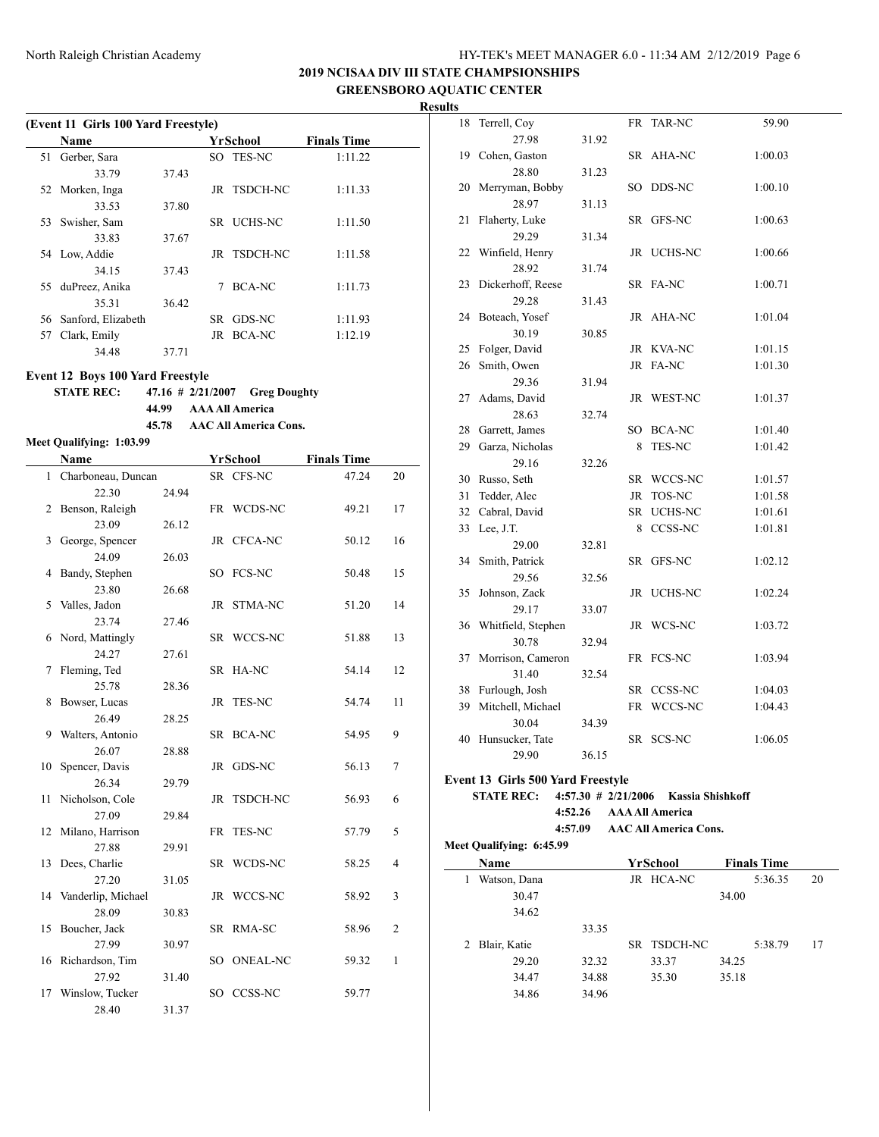**2019 NCISAA DIV III STATE CHAMPSIONSHIPS GREENSBORO AQUATIC CENTER**

**Results**

|     | (Event 11 Girls 100 Yard Freestyle) |       |     |                  |                    |  |  |  |  |  |
|-----|-------------------------------------|-------|-----|------------------|--------------------|--|--|--|--|--|
|     | Name                                |       |     | YrSchool         | <b>Finals Time</b> |  |  |  |  |  |
| 51  | Gerber, Sara                        |       | SO. | <b>TES-NC</b>    | 1:11.22            |  |  |  |  |  |
|     | 33.79                               | 37.43 |     |                  |                    |  |  |  |  |  |
|     | 52 Morken, Inga                     |       |     | JR TSDCH-NC      | 1:11.33            |  |  |  |  |  |
|     | 33.53                               | 37.80 |     |                  |                    |  |  |  |  |  |
| 53  | Swisher, Sam                        |       |     | SR UCHS-NC       | 1:11.50            |  |  |  |  |  |
|     | 33.83                               | 37.67 |     |                  |                    |  |  |  |  |  |
|     | 54 Low, Addie                       |       |     | JR TSDCH-NC      | 1:11.58            |  |  |  |  |  |
|     | 34.15                               | 37.43 |     |                  |                    |  |  |  |  |  |
| 55. | duPreez, Anika                      |       |     | BCA-NC           | 1:11.73            |  |  |  |  |  |
|     | 35.31                               | 36.42 |     |                  |                    |  |  |  |  |  |
| 56  | Sanford, Elizabeth                  |       | SR. | GDS-NC           | 1:11.93            |  |  |  |  |  |
| 57  | Clark, Emily                        |       |     | <b>JR BCA-NC</b> | 1:12.19            |  |  |  |  |  |
|     | 34.48                               | 37.71 |     |                  |                    |  |  |  |  |  |
|     |                                     |       |     |                  |                    |  |  |  |  |  |

**Event 12 Boys 100 Yard Freestyle**

### **STATE REC: 47.16 # 2/21/2007 Greg Doughty 44.99 AAA All America**

**45.78 AAC All America Cons.**

# **Meet Qualifying: 1:03.99**

|              | Name               |       |           | YrSchool       | <b>Finals Time</b> |                |
|--------------|--------------------|-------|-----------|----------------|--------------------|----------------|
| $\mathbf{1}$ | Charboneau, Duncan |       |           | SR CFS-NC      | 47.24              | 20             |
|              | 22.30              | 24.94 |           |                |                    |                |
| 2            | Benson, Raleigh    |       |           | FR WCDS-NC     | 49.21              | 17             |
|              | 23.09              | 26.12 |           |                |                    |                |
| 3            | George, Spencer    |       |           | JR CFCA-NC     | 50.12              | 16             |
|              | 24.09              | 26.03 |           |                |                    |                |
| 4            | Bandy, Stephen     |       |           | SO FCS-NC      | 50.48              | 15             |
|              | 23.80              | 26.68 |           |                |                    |                |
| 5            | Valles, Jadon      |       | JR        | STMA-NC        | 51.20              | 14             |
|              | 23.74              | 27.46 |           |                |                    |                |
| 6            | Nord, Mattingly    |       |           | SR WCCS-NC     | 51.88              | 13             |
|              | 24.27              | 27.61 |           |                |                    |                |
| 7            | Fleming, Ted       |       | <b>SR</b> | HA-NC          | 54.14              | 12             |
|              | 25.78              | 28.36 |           |                |                    |                |
| 8            | Bowser, Lucas      |       | JR        | <b>TES-NC</b>  | 54.74              | 11             |
|              | 26.49              | 28.25 |           |                |                    |                |
| 9.           | Walters, Antonio   |       |           | SR BCA-NC      | 54.95              | 9              |
|              | 26.07              | 28.88 |           |                |                    |                |
| 10           | Spencer, Davis     |       | JR        | GDS-NC         | 56.13              | 7              |
|              | 26.34              | 29.79 |           |                |                    |                |
| 11           | Nicholson, Cole    |       | JR        | TSDCH-NC       | 56.93              | 6              |
|              | 27.09              | 29.84 |           |                |                    |                |
| 12           | Milano, Harrison   |       | FR        | <b>TES-NC</b>  | 57.79              | 5              |
|              | 27.88              | 29.91 |           |                |                    |                |
| 13           | Dees, Charlie      |       |           | SR WCDS-NC     | 58.25              | 4              |
|              | 27.20              | 31.05 |           |                |                    |                |
| 14           | Vanderlip, Michael |       | JR        | WCCS-NC        | 58.92              | 3              |
|              | 28.09              | 30.83 |           |                |                    |                |
| 15           | Boucher, Jack      |       |           | SR RMA-SC      | 58.96              | $\overline{2}$ |
|              | 27.99              | 30.97 |           |                |                    |                |
|              | 16 Richardson, Tim |       |           | SO ONEAL-NC    | 59.32              | $\mathbf{1}$   |
|              | 27.92              | 31.40 |           |                |                    |                |
| 17           | Winslow, Tucker    |       | SO.       | <b>CCSS-NC</b> | 59.77              |                |
|              | 28.40              | 31.37 |           |                |                    |                |

| 18 | Terrell, Coy       |       | FR  | TAR-NC     | 59.90   |
|----|--------------------|-------|-----|------------|---------|
|    | 27.98              | 31.92 |     |            |         |
| 19 | Cohen, Gaston      |       | SR  | AHA-NC     | 1:00.03 |
|    | 28.80              | 31.23 |     |            |         |
| 20 | Merryman, Bobby    |       |     | SO DDS-NC  | 1:00.10 |
|    | 28.97              | 31.13 |     |            |         |
| 21 | Flaherty, Luke     |       | SR  | GFS-NC     | 1:00.63 |
|    | 29.29              | 31.34 |     |            |         |
| 22 | Winfield, Henry    |       |     | JR UCHS-NC | 1:00.66 |
|    | 28.92              | 31.74 |     |            |         |
| 23 | Dickerhoff, Reese  |       |     | SR FA-NC   | 1:00.71 |
|    | 29.28              | 31.43 |     |            |         |
| 24 | Boteach, Yosef     |       | JR. | AHA-NC     | 1:01.04 |
|    | 30.19              | 30.85 |     |            |         |
| 25 | Folger, David      |       |     | JR KVA-NC  | 1:01.15 |
| 26 | Smith, Owen        |       | JR  | FA-NC      | 1:01.30 |
|    | 29.36              | 31.94 |     |            |         |
| 27 | Adams, David       |       |     | JR WEST-NC | 1:01.37 |
|    | 28.63              | 32.74 |     |            |         |
|    | 28 Garrett, James  |       |     | SO BCA-NC  | 1:01.40 |
|    | 29 Garza, Nicholas |       | 8   | TES-NC     | 1:01.42 |
|    | 29.16              | 32.26 |     |            |         |
|    | 30 Russo, Seth     |       | SR  | WCCS-NC    | 1:01.57 |
|    | 31 Tedder, Alec    |       |     | JR TOS-NC  | 1:01.58 |
|    | 32 Cabral, David   |       |     | SR UCHS-NC | 1:01.61 |
|    | 33 Lee, J.T.       |       | 8   | CCSS-NC    | 1:01.81 |
|    | 29.00              | 32.81 |     |            |         |
| 34 | Smith, Patrick     |       | SR  | GFS-NC     | 1:02.12 |
|    | 29.56              | 32.56 |     |            |         |
| 35 | Johnson, Zack      |       | JR  | UCHS-NC    | 1:02.24 |
|    | 29.17              | 33.07 |     |            |         |
| 36 | Whitfield, Stephen |       |     | JR WCS-NC  | 1:03.72 |
|    | 30.78              | 32.94 |     |            |         |
| 37 | Morrison, Cameron  |       |     | FR FCS-NC  | 1:03.94 |
|    | 31.40              | 32.54 |     |            |         |
| 38 | Furlough, Josh     |       | SR  | CCSS-NC    | 1:04.03 |
| 39 | Mitchell, Michael  |       | FR  | WCCS-NC    | 1:04.43 |
|    | 30.04              | 34.39 |     |            |         |
| 40 | Hunsucker, Tate    |       | SR  | SCS-NC     | 1:06.05 |
|    | 29.90              | 36.15 |     |            |         |

**Event 13 Girls 500 Yard Freestyle**

### **STATE REC: 4:57.30 # 2/21/2006 Kassia Shishkoff 4:52.26 AAA All America 4:57.09 AAC All America Cons.**

|   | <b>Name</b>  |       | YrSchool    |       | <b>Finals Time</b> |    |
|---|--------------|-------|-------------|-------|--------------------|----|
|   | Watson, Dana |       | JR HCA-NC   |       | 5:36.35            | 20 |
|   | 30.47        |       |             | 34.00 |                    |    |
|   | 34.62        |       |             |       |                    |    |
|   |              | 33.35 |             |       |                    |    |
| 2 | Blair, Katie |       | SR TSDCH-NC |       | 5:38.79            | 17 |
|   | 29.20        | 32.32 | 33.37       | 34.25 |                    |    |
|   | 34.47        | 34.88 | 35.30       | 35.18 |                    |    |
|   | 34.86        | 34.96 |             |       |                    |    |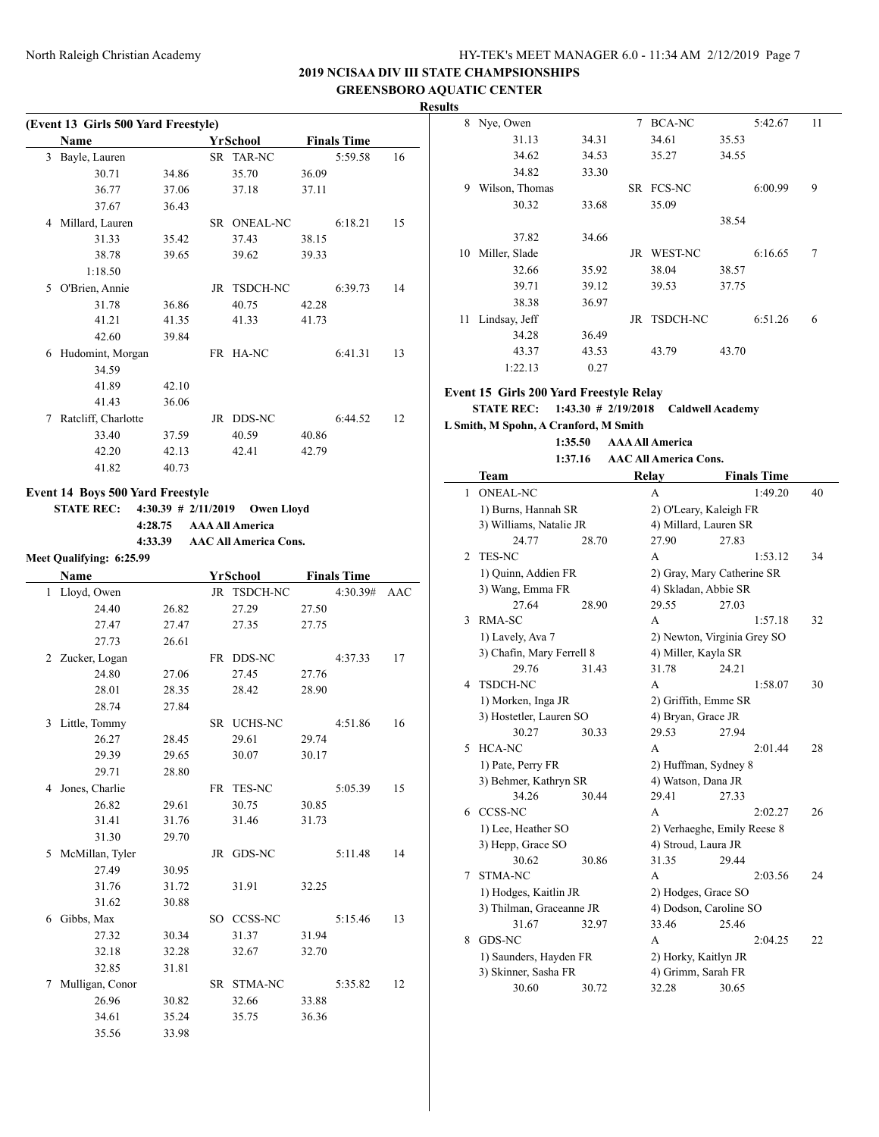**2019 NCISAA DIV III STATE CHAMPSIONSHIPS**

**GREENSBORO AQUATIC CENTER Results**

|                                     |         |                                  |       |                    |    | ixesuits                                |         |                                         |       |                    |        |
|-------------------------------------|---------|----------------------------------|-------|--------------------|----|-----------------------------------------|---------|-----------------------------------------|-------|--------------------|--------|
| (Event 13 Girls 500 Yard Freestyle) |         |                                  |       |                    |    | 8 Nye, Owen                             |         | 7 BCA-NC                                |       | 5:42.67            | 11     |
| Name                                |         | YrSchool                         |       | <b>Finals Time</b> |    | 31.13                                   | 34.31   | 34.61                                   | 35.53 |                    |        |
| 3 Bayle, Lauren                     |         | SR TAR-NC                        |       | 5:59.58            | 16 | 34.62                                   | 34.53   | 35.27                                   | 34.55 |                    |        |
| 30.71                               | 34.86   | 35.70                            | 36.09 |                    |    | 34.82                                   | 33.30   |                                         |       |                    |        |
| 36.77                               | 37.06   | 37.18                            | 37.11 |                    |    | 9 Wilson, Thomas                        |         | SR FCS-NC                               |       | 6:00.99            | 9      |
| 37.67                               | 36.43   |                                  |       |                    |    | 30.32                                   | 33.68   | 35.09                                   |       |                    |        |
| 4 Millard, Lauren                   |         | SR ONEAL-NC                      |       | 6:18.21            | 15 |                                         |         |                                         | 38.54 |                    |        |
| 31.33                               | 35.42   | 37.43                            | 38.15 |                    |    | 37.82                                   | 34.66   |                                         |       |                    |        |
| 38.78                               | 39.65   | 39.62                            | 39.33 |                    |    | 10 Miller, Slade                        |         | JR WEST-NC                              |       | 6:16.65            | 7      |
| 1:18.50                             |         |                                  |       |                    |    | 32.66                                   | 35.92   | 38.04                                   | 38.57 |                    |        |
| 5 O'Brien, Annie                    |         | JR TSDCH-NC                      |       | 6:39.73            | 14 | 39.71                                   | 39.12   | 39.53                                   | 37.75 |                    |        |
| 31.78                               | 36.86   | 40.75                            | 42.28 |                    |    | 38.38                                   | 36.97   |                                         |       |                    |        |
| 41.21                               | 41.35   | 41.33                            | 41.73 |                    |    | 11 Lindsay, Jeff                        |         | JR TSDCH-NC                             |       | 6:51.26            | 6      |
| 42.60                               | 39.84   |                                  |       |                    |    | 34.28                                   | 36.49   |                                         |       |                    |        |
| 6 Hudomint, Morgan                  |         | FR HA-NC                         |       | 6:41.31            | 13 | 43.37                                   | 43.53   | 43.79                                   | 43.70 |                    |        |
|                                     |         |                                  |       |                    |    | 1:22.13                                 | 0.27    |                                         |       |                    |        |
| 34.59                               |         |                                  |       |                    |    |                                         |         |                                         |       |                    |        |
| 41.89                               | 42.10   |                                  |       |                    |    | Event 15 Girls 200 Yard Freestyle Relay |         |                                         |       |                    |        |
| 41.43                               | 36.06   |                                  |       |                    |    | <b>STATE REC:</b>                       |         | $1:43.30 \# 2/19/2018$ Caldwell Academy |       |                    |        |
| 7 Ratcliff, Charlotte               |         | JR DDS-NC                        |       | 6:44.52            | 12 | L Smith, M Spohn, A Cranford, M Smith   |         |                                         |       |                    |        |
| 33.40                               | 37.59   | 40.59                            | 40.86 |                    |    |                                         | 1:35.50 | <b>AAA All America</b>                  |       |                    |        |
| 42.20                               | 42.13   | 42.41                            | 42.79 |                    |    |                                         | 1:37.16 | <b>AAC All America Cons.</b>            |       |                    |        |
| 41.82                               | 40.73   |                                  |       |                    |    | <b>Team</b>                             |         | Relay                                   |       | <b>Finals Time</b> |        |
| Event 14 Boys 500 Yard Freestyle    |         |                                  |       |                    |    | 1 ONEAL-NC                              |         | A                                       |       | 1:49.20            | 40     |
| <b>STATE REC:</b>                   |         | 4:30.39 # $2/11/2019$ Owen Lloyd |       |                    |    | 1) Burns, Hannah SR                     |         | 2) O'Leary, Kaleigh FR                  |       |                    |        |
|                                     | 4:28.75 | <b>AAA All America</b>           |       |                    |    | 3) Williams, Natalie JR                 |         | 4) Millard, Lauren SR                   |       |                    |        |
|                                     | 4:33.39 | <b>AAC All America Cons.</b>     |       |                    |    | 24.77                                   | 28.70   | 27.90                                   | 27.83 |                    |        |
| Meet Qualifying: 6:25.99            |         |                                  |       |                    |    | 2 TES-NC                                |         | A                                       |       | 1:53.12            | 34     |
| Name                                |         | <b>YrSchool</b>                  |       | <b>Finals Time</b> |    | 1) Quinn, Addien FR                     |         | 2) Gray, Mary Catherine SR              |       |                    |        |
|                                     |         |                                  |       |                    |    | 3) Wang, Emma FR                        |         | 4) Skladan, Abbie SR                    |       |                    |        |
| 1 Lloyd, Owen                       |         | JR TSDCH-NC                      |       | 4:30.39# AAC       |    | 27.64                                   | 28.90   | 29.55                                   | 27.03 |                    |        |
| 24.40                               | 26.82   | 27.29                            | 27.50 |                    |    | 3 RMA-SC                                |         | A                                       |       | 1:57.18            | 32     |
| 27.47                               | 27.47   | 27.35                            | 27.75 |                    |    | 1) Lavely, Ava 7                        |         | 2) Newton, Virginia Grey SO             |       |                    |        |
| 27.73                               | 26.61   |                                  |       |                    |    | 3) Chafin, Mary Ferrell 8               |         | 4) Miller, Kayla SR                     |       |                    |        |
| 2 Zucker, Logan                     |         | FR DDS-NC                        |       | 4:37.33            | 17 | 29.76                                   | 31.43   | 31.78                                   | 24.21 |                    |        |
| 24.80                               | 27.06   | 27.45                            | 27.76 |                    |    | 4 TSDCH-NC                              |         | A                                       |       | 1:58.07            | 30     |
| 28.01                               | 28.35   | 28.42                            | 28.90 |                    |    | 1) Morken, Inga JR                      |         | 2) Griffith, Emme SR                    |       |                    |        |
| 28.74                               | 27.84   |                                  |       |                    |    | 3) Hostetler, Lauren SO                 |         | 4) Bryan, Grace JR                      |       |                    |        |
| 3 Little, Tommy                     |         | SR UCHS-NC                       |       | 4:51.86            | 16 | 30.27                                   | 30.33   | 29.53                                   | 27.94 |                    |        |
| 26.27                               | 28.45   | 29.61                            | 29.74 |                    |    | 5 HCA-NC                                |         | A                                       |       | 2:01.44            | $28\,$ |
| 29.39                               | 29.65   | 30.07                            | 30.17 |                    |    | 1) Pate, Perry FR                       |         | 2) Huffman, Sydney 8                    |       |                    |        |
| 29.71                               | 28.80   |                                  |       |                    |    | 3) Behmer, Kathryn SR                   |         | 4) Watson, Dana JR                      |       |                    |        |
| 4 Jones, Charlie                    |         | FR TES-NC                        |       | 5:05.39            | 15 | 34.26                                   | 30.44   | 29.41                                   | 27.33 |                    |        |
| 26.82                               | 29.61   | 30.75                            | 30.85 |                    |    | 6 CCSS-NC                               |         | $\mathbf A$                             |       | 2:02.27            | 26     |
| 31.41                               | 31.76   | 31.46                            | 31.73 |                    |    | 1) Lee, Heather SO                      |         | 2) Verhaeghe, Emily Reese 8             |       |                    |        |
| 31.30                               | 29.70   |                                  |       |                    |    | 3) Hepp, Grace SO                       |         | 4) Stroud, Laura JR                     |       |                    |        |
| 5 McMillan, Tyler                   |         | JR GDS-NC                        |       | 5:11.48            | 14 | 30.62                                   | 30.86   | 31.35                                   | 29.44 |                    |        |
| 27.49                               | 30.95   |                                  |       |                    |    | 7 STMA-NC                               |         | A                                       |       | 2:03.56            | 24     |
| 31.76                               | 31.72   | 31.91                            | 32.25 |                    |    | 1) Hodges, Kaitlin JR                   |         | 2) Hodges, Grace SO                     |       |                    |        |
| 31.62                               | 30.88   |                                  |       |                    |    |                                         |         |                                         |       |                    |        |
| 6 Gibbs, Max                        |         | SO CCSS-NC                       |       | 5:15.46            | 13 | 3) Thilman, Graceanne JR<br>31.67       |         | 4) Dodson, Caroline SO                  |       |                    |        |
| 27.32                               | 30.34   | 31.37                            | 31.94 |                    |    | 8 GDS-NC                                | 32.97   | 33.46                                   | 25.46 |                    |        |
| 32.18                               | 32.28   | 32.67                            | 32.70 |                    |    |                                         |         | A                                       |       | 2:04.25            | 22     |
| 32.85                               | 31.81   |                                  |       |                    |    | 1) Saunders, Hayden FR                  |         | 2) Horky, Kaitlyn JR                    |       |                    |        |
| 7 Mulligan, Conor                   |         | SR STMA-NC                       |       | 5:35.82            | 12 | 3) Skinner, Sasha FR                    |         | 4) Grimm, Sarah FR                      |       |                    |        |
| 26.96                               | 30.82   | 32.66                            | 33.88 |                    |    | 30.60                                   | 30.72   | 32.28                                   | 30.65 |                    |        |
| 34.61                               | 35.24   | 35.75                            | 36.36 |                    |    |                                         |         |                                         |       |                    |        |
|                                     |         |                                  |       |                    |    |                                         |         |                                         |       |                    |        |
| 35.56                               | 33.98   |                                  |       |                    |    |                                         |         |                                         |       |                    |        |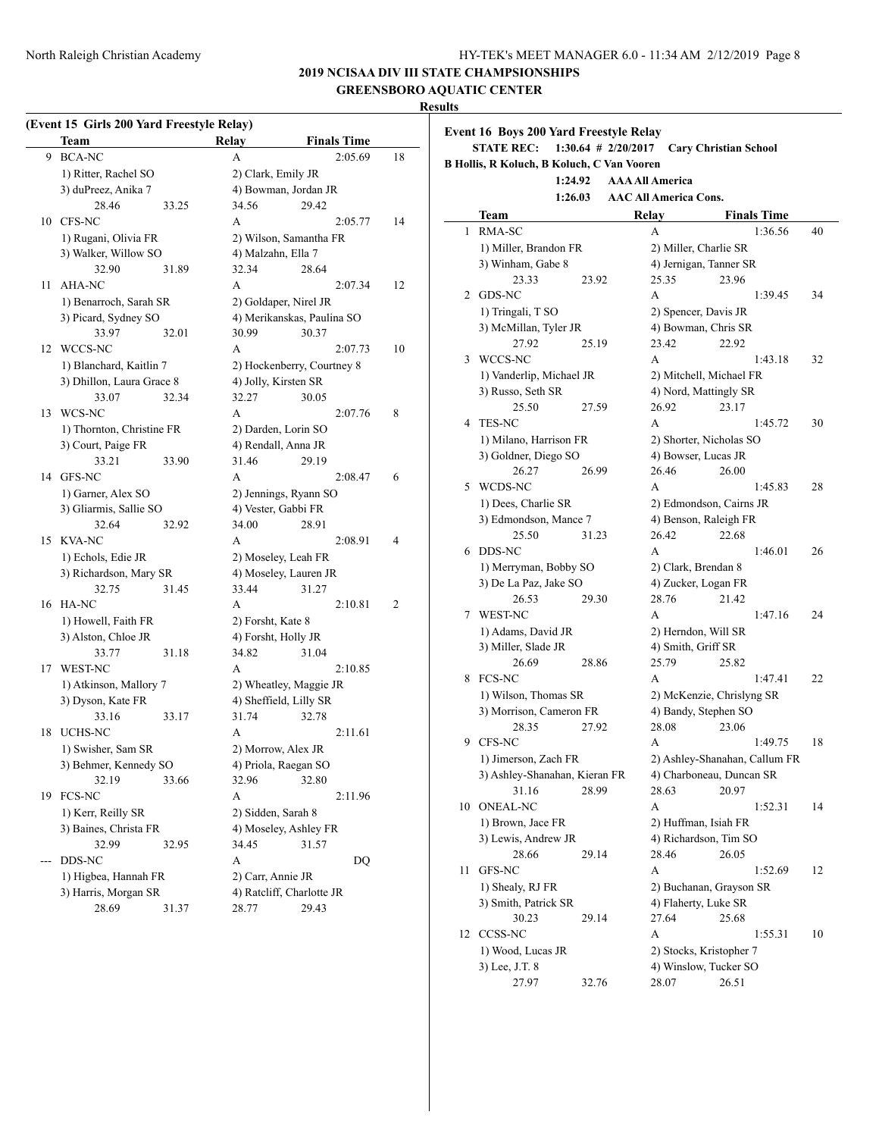# **2019 NCISAA DIV III STATE CHAMPSIONSHIPS**

**GREENSBORO AQUATIC CENTER**

#### **Results**

# **(Event 15 Girls 200 Yard Freestyle Relay)**

|     | <b>Team</b>               |       | Relay                     | <b>Finals Time</b>         |    |  |  |
|-----|---------------------------|-------|---------------------------|----------------------------|----|--|--|
| 9   | <b>BCA-NC</b>             |       | А                         | 2:05.69                    | 18 |  |  |
|     | 1) Ritter, Rachel SO      |       | 2) Clark, Emily JR        |                            |    |  |  |
|     | 3) duPreez, Anika 7       |       | 4) Bowman, Jordan JR      |                            |    |  |  |
|     | 28.46                     | 33.25 | 34.56                     | 29.42                      |    |  |  |
| 10  | CFS-NC                    |       | A                         | 2:05.77                    | 14 |  |  |
|     | 1) Rugani, Olivia FR      |       | 2) Wilson, Samantha FR    |                            |    |  |  |
|     | 3) Walker, Willow SO      |       | 4) Malzahn, Ella 7        |                            |    |  |  |
|     | 32.90                     | 31.89 | 32.34                     | 28.64                      |    |  |  |
| 11  | AHA-NC                    |       | A                         | 2:07.34                    | 12 |  |  |
|     | 1) Benarroch, Sarah SR    |       | 2) Goldaper, Nirel JR     |                            |    |  |  |
|     | 3) Picard, Sydney SO      |       |                           | 4) Merikanskas, Paulina SO |    |  |  |
|     | 33.97                     | 32.01 | 30.99                     | 30.37                      |    |  |  |
| 12  | WCCS-NC                   |       | A                         | 2:07.73                    | 10 |  |  |
|     | 1) Blanchard, Kaitlin 7   |       |                           | 2) Hockenberry, Courtney 8 |    |  |  |
|     | 3) Dhillon, Laura Grace 8 |       | 4) Jolly, Kirsten SR      |                            |    |  |  |
|     | 33.07                     | 32.34 | 32.27                     | 30.05                      |    |  |  |
| 13  | WCS-NC                    |       | A                         | 2:07.76                    | 8  |  |  |
|     | 1) Thornton, Christine FR |       | 2) Darden, Lorin SO       |                            |    |  |  |
|     | 3) Court, Paige FR        |       | 4) Rendall, Anna JR       |                            |    |  |  |
|     | 33.21                     | 33.90 | 31.46                     | 29.19                      |    |  |  |
| 14  | GFS-NC                    |       | A                         | 2:08.47                    | 6  |  |  |
|     | 1) Garner, Alex SO        |       | 2) Jennings, Ryann SO     |                            |    |  |  |
|     | 3) Gliarmis, Sallie SO    |       | 4) Vester, Gabbi FR       |                            |    |  |  |
|     | 32.64                     | 32.92 | 34.00                     | 28.91                      |    |  |  |
| 15  | <b>KVA-NC</b>             |       | A                         | 2:08.91                    | 4  |  |  |
|     | 1) Echols, Edie JR        |       | 2) Moseley, Leah FR       |                            |    |  |  |
|     | 3) Richardson, Mary SR    |       | 4) Moseley, Lauren JR     |                            |    |  |  |
|     | 32.75                     | 31.45 | 33.44                     | 31.27                      |    |  |  |
| 16  | HA-NC                     |       | A                         | 2:10.81                    | 2  |  |  |
|     | 1) Howell, Faith FR       |       | 2) Forsht, Kate 8         |                            |    |  |  |
|     | 3) Alston, Chloe JR       |       | 4) Forsht, Holly JR       |                            |    |  |  |
|     | 33.77                     | 31.18 | 34.82                     | 31.04                      |    |  |  |
| 17  | <b>WEST-NC</b>            |       | A                         | 2:10.85                    |    |  |  |
|     | 1) Atkinson, Mallory 7    |       | 2) Wheatley, Maggie JR    |                            |    |  |  |
|     | 3) Dyson, Kate FR         |       | 4) Sheffield, Lilly SR    |                            |    |  |  |
|     | 33.16                     | 33.17 | 31.74                     | 32.78                      |    |  |  |
| 18  | UCHS-NC                   |       | A                         | 2:11.61                    |    |  |  |
|     | 1) Swisher, Sam SR        |       | 2) Morrow, Alex JR        |                            |    |  |  |
|     | 3) Behmer, Kennedy SO     |       | 4) Priola, Raegan SO      |                            |    |  |  |
|     | 32.19                     | 33.66 | 32.96                     | 32.80                      |    |  |  |
| 19  | FCS-NC                    |       | А                         | 2:11.96                    |    |  |  |
|     | 1) Kerr, Reilly SR        |       | 2) Sidden, Sarah 8        |                            |    |  |  |
|     | 3) Baines, Christa FR     |       | 4) Moseley, Ashley FR     |                            |    |  |  |
|     | 32.99                     | 32.95 | 34.45                     | 31.57                      |    |  |  |
| --- | DDS-NC                    |       | А                         | DQ                         |    |  |  |
|     | 1) Higbea, Hannah FR      |       | 2) Carr, Annie JR         |                            |    |  |  |
|     | 3) Harris, Morgan SR      |       | 4) Ratcliff, Charlotte JR |                            |    |  |  |
|     | 28.69                     | 31.37 | 28.77                     | 29.43                      |    |  |  |

|    | <b>Event 16 Boys 200 Yard Freestyle Relay</b><br><b>STATE REC:</b> |       | $1:30.64$ # 2/20/2017 |                              | <b>Cary Christian School</b>  |    |
|----|--------------------------------------------------------------------|-------|-----------------------|------------------------------|-------------------------------|----|
|    | B Hollis, R Koluch, B Koluch, C Van Vooren                         |       |                       |                              |                               |    |
|    | 1:24.92                                                            |       |                       | <b>AAA All America</b>       |                               |    |
|    | 1:26.03                                                            |       |                       | <b>AAC All America Cons.</b> |                               |    |
|    | Team                                                               |       |                       | Relay                        | <b>Finals Time</b>            |    |
| 1  | RMA-SC                                                             |       |                       | А                            | 1:36.56                       | 40 |
|    | 1) Miller, Brandon FR                                              |       |                       |                              | 2) Miller, Charlie SR         |    |
|    | 3) Winham, Gabe 8                                                  |       |                       |                              | 4) Jernigan, Tanner SR        |    |
|    | 23.33                                                              | 23.92 |                       | 25.35                        | 23.96                         |    |
| 2  | GDS-NC                                                             |       |                       | $\mathsf{A}$                 | 1:39.45                       | 34 |
|    | 1) Tringali, T SO                                                  |       |                       |                              | 2) Spencer, Davis JR          |    |
|    | 3) McMillan, Tyler JR                                              |       |                       |                              | 4) Bowman, Chris SR           |    |
|    | 27.92                                                              | 25.19 |                       | 23.42                        | 22.92                         |    |
| 3  | WCCS-NC                                                            |       |                       | A                            | 1:43.18                       | 32 |
|    | 1) Vanderlip, Michael JR                                           |       |                       |                              | 2) Mitchell, Michael FR       |    |
|    | 3) Russo, Seth SR                                                  |       |                       |                              | 4) Nord, Mattingly SR         |    |
|    | 25.50                                                              | 27.59 |                       | 26.92                        | 23.17                         |    |
| 4  | <b>TES-NC</b>                                                      |       |                       | A                            | 1:45.72                       | 30 |
|    | 1) Milano, Harrison FR                                             |       |                       |                              | 2) Shorter, Nicholas SO       |    |
|    | 3) Goldner, Diego SO                                               |       |                       |                              | 4) Bowser, Lucas JR           |    |
|    | 26.27                                                              | 26.99 |                       | 26.46                        | 26.00                         |    |
| 5  | WCDS-NC                                                            |       |                       | A                            | 1:45.83                       | 28 |
|    | 1) Dees, Charlie SR                                                |       |                       |                              | 2) Edmondson, Cairns JR       |    |
|    | 3) Edmondson, Mance 7                                              |       |                       |                              | 4) Benson, Raleigh FR         |    |
|    | 25.50                                                              | 31.23 |                       | 26.42                        | 22.68                         |    |
| 6  | DDS-NC                                                             |       |                       | А                            | 1:46.01                       | 26 |
|    | 1) Merryman, Bobby SO                                              |       |                       |                              | 2) Clark, Brendan 8           |    |
|    | 3) De La Paz, Jake SO                                              |       |                       |                              | 4) Zucker, Logan FR           |    |
|    | 26.53                                                              | 29.30 |                       | 28.76                        | 21.42                         |    |
| 7  | <b>WEST-NC</b>                                                     |       |                       | A                            | 1:47.16                       | 24 |
|    | 1) Adams, David JR                                                 |       |                       |                              | 2) Herndon, Will SR           |    |
|    | 3) Miller, Slade JR                                                |       |                       |                              | 4) Smith, Griff SR            |    |
|    | 26.69                                                              | 28.86 |                       | 25.79                        | 25.82                         |    |
| 8  | <b>FCS-NC</b>                                                      |       |                       | A                            | 1:47.41                       | 22 |
|    | 1) Wilson, Thomas SR                                               |       |                       |                              | 2) McKenzie, Chrislyng SR     |    |
|    | 3) Morrison, Cameron FR                                            |       |                       |                              | 4) Bandy, Stephen SO          |    |
|    | 28.35                                                              | 27.92 |                       | 28.08                        | 23.06                         |    |
| 9  | CFS-NC                                                             |       |                       | A                            | 1:49.75                       | 18 |
|    | 1) Jimerson, Zach FR                                               |       |                       |                              | 2) Ashley-Shanahan, Callum FR |    |
|    | 3) Ashley-Shanahan, Kieran FR                                      |       |                       |                              | 4) Charboneau, Duncan SR      |    |
|    | 31.16                                                              | 28.99 |                       | 28.63                        | 20.97                         |    |
|    | 10 ONEAL-NC                                                        |       |                       | A                            | 1:52.31                       | 14 |
|    | 1) Brown, Jace FR                                                  |       |                       |                              | 2) Huffman, Isiah FR          |    |
|    | 3) Lewis, Andrew JR                                                |       |                       |                              | 4) Richardson, Tim SO         |    |
|    | 28.66                                                              | 29.14 |                       | 28.46                        | 26.05                         |    |
| 11 | GFS-NC                                                             |       |                       | A                            | 1:52.69                       | 12 |
|    | 1) Shealy, RJ FR                                                   |       |                       |                              | 2) Buchanan, Grayson SR       |    |
|    | 3) Smith, Patrick SR                                               |       |                       |                              | 4) Flaherty, Luke SR          |    |
|    |                                                                    |       |                       |                              |                               |    |

| 30.23             | 29.14 | 27.64                   | 25.68 |         |    |
|-------------------|-------|-------------------------|-------|---------|----|
| 12 CCSS-NC        |       | А                       |       | 1:55.31 | 10 |
| 1) Wood, Lucas JR |       | 2) Stocks, Kristopher 7 |       |         |    |
| 3) Lee, J.T. 8    |       | 4) Winslow, Tucker SO   |       |         |    |
| 27 97             | 32 76 | 28.07                   | 26.51 |         |    |

26.51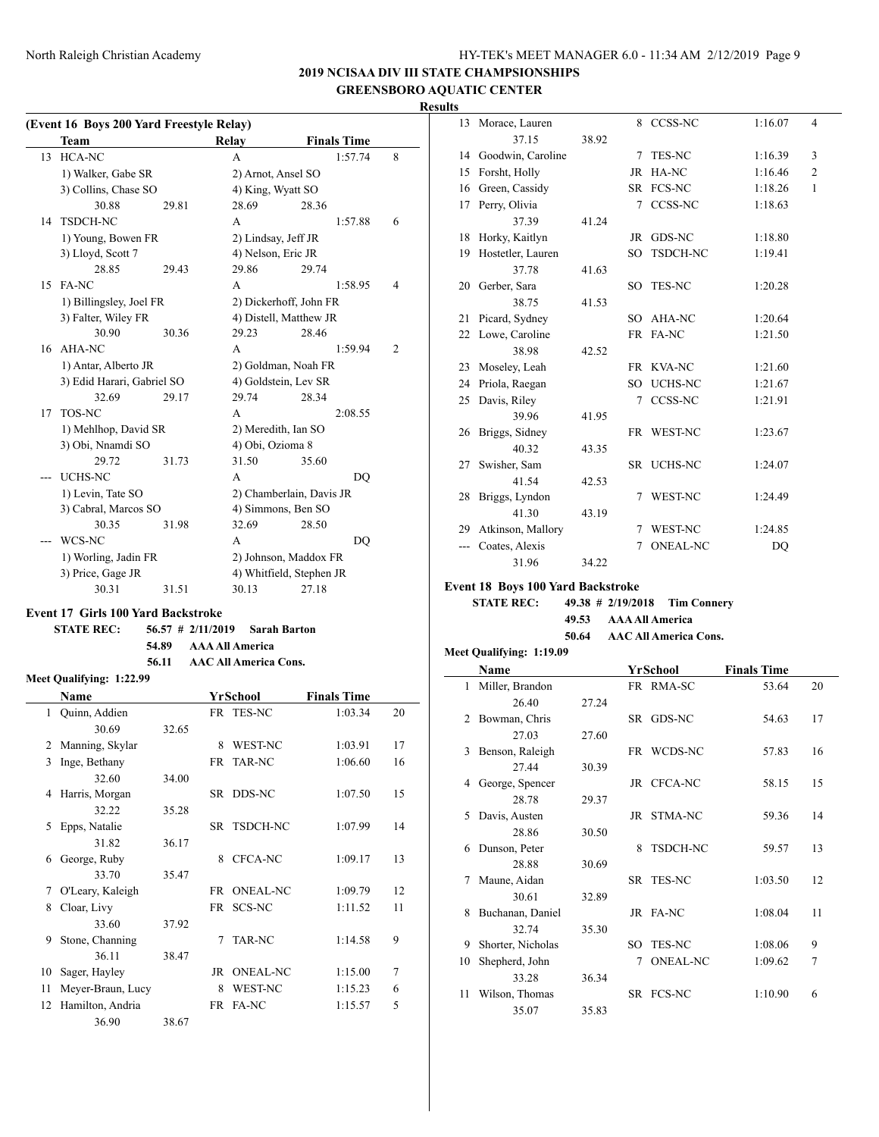# **2019 NCISAA DIV III STATE CHAMPSIONSHIPS GREENSBORO AQUATIC CENTER**

# **Results**

|  | (Event 16 Boys 200 Yard Freestyle Relay) |  |  |
|--|------------------------------------------|--|--|
|  |                                          |  |  |

|    | Team                       |       | Relay                  | <b>Finals Time</b>       |   |
|----|----------------------------|-------|------------------------|--------------------------|---|
| 13 | HCA-NC                     |       | A                      | 1:57.74                  | 8 |
|    | 1) Walker, Gabe SR         |       | 2) Arnot, Ansel SO     |                          |   |
|    | 3) Collins, Chase SO       |       | 4) King, Wyatt SO      |                          |   |
|    | 30.88                      | 29.81 | 28.69                  | 28.36                    |   |
| 14 | <b>TSDCH-NC</b>            |       | A                      | 1:57.88                  | 6 |
|    | 1) Young, Bowen FR         |       | 2) Lindsay, Jeff JR    |                          |   |
|    | 3) Lloyd, Scott 7          |       | 4) Nelson, Eric JR     |                          |   |
|    | 28.85                      | 29.43 | 29.86                  | 29.74                    |   |
| 15 | FA-NC                      |       | A                      | 1:58.95                  | 4 |
|    | 1) Billingsley, Joel FR    |       | 2) Dickerhoff, John FR |                          |   |
|    | 3) Falter, Wiley FR        |       | 4) Distell, Matthew JR |                          |   |
|    | 30.90                      | 30.36 | 29.23                  | 28.46                    |   |
|    | 16 AHA-NC                  |       | A                      | 1:59.94                  | 2 |
|    | 1) Antar, Alberto JR       |       | 2) Goldman, Noah FR    |                          |   |
|    | 3) Edid Harari, Gabriel SO |       | 4) Goldstein, Lev SR   |                          |   |
|    | 32.69                      | 29.17 | 29.74                  | 28.34                    |   |
| 17 | TOS-NC                     |       | A                      | 2:08.55                  |   |
|    | 1) Mehlhop, David SR       |       | 2) Meredith, Ian SO    |                          |   |
|    | 3) Obi, Nnamdi SO          |       | 4) Obi, Ozioma 8       |                          |   |
|    | 29.72                      | 31.73 | 31.50                  | 35.60                    |   |
|    | <b>UCHS-NC</b>             |       | A                      | DO                       |   |
|    | 1) Levin, Tate SO          |       |                        | 2) Chamberlain, Davis JR |   |
|    | 3) Cabral, Marcos SO       |       | 4) Simmons, Ben SO     |                          |   |
|    | 30.35                      | 31.98 | 32.69                  | 28.50                    |   |
|    | WCS-NC                     |       | A                      | DQ                       |   |
|    | 1) Worling, Jadin FR       |       | 2) Johnson, Maddox FR  |                          |   |
|    | 3) Price, Gage JR          |       |                        | 4) Whitfield, Stephen JR |   |
|    | 30.31                      | 31.51 | 30.13                  | 27.18                    |   |

# **Event 17 Girls 100 Yard Backstroke**

**STATE REC: 56.57 # 2/11/2019 Sarah Barton 54.89 AAA All America 56.11 AAC All America Cons.**

# **Meet Qualifying: 1:22.99**

 $\overline{a}$ 

|              | Name              |       |      | YrSchool        | <b>Finals Time</b> |    |
|--------------|-------------------|-------|------|-----------------|--------------------|----|
| $\mathbf{1}$ | Quinn, Addien     |       |      | FR TES-NC       | 1:03.34            | 20 |
|              | 30.69             | 32.65 |      |                 |                    |    |
| 2            | Manning, Skylar   |       | 8    | WEST-NC         | 1:03.91            | 17 |
| 3            | Inge, Bethany     |       |      | FR TAR-NC       | 1:06.60            | 16 |
|              | 32.60             | 34.00 |      |                 |                    |    |
| 4            | Harris, Morgan    |       |      | SR DDS-NC       | 1:07.50            | 15 |
|              | 32.22             | 35.28 |      |                 |                    |    |
| 5            | Epps, Natalie     |       |      | SR TSDCH-NC     | 1:07.99            | 14 |
|              | 31.82             | 36.17 |      |                 |                    |    |
| 6            | George, Ruby      |       | 8    | CFCA-NC         | 1:09.17            | 13 |
|              | 33.70             | 35.47 |      |                 |                    |    |
| 7            | O'Leary, Kaleigh  |       | FR.  | <b>ONEAL-NC</b> | 1:09.79            | 12 |
| 8            | Cloar, Livy       |       | FR - | SCS-NC          | 1:11.52            | 11 |
|              | 33.60             | 37.92 |      |                 |                    |    |
| 9            | Stone, Channing   |       | 7    | TAR-NC          | 1:14.58            | 9  |
|              | 36.11             | 38.47 |      |                 |                    |    |
| 10           | Sager, Hayley     |       | JR   | <b>ONEAL-NC</b> | 1:15.00            | 7  |
| 11           | Meyer-Braun, Lucy |       | 8    | WEST-NC         | 1:15.23            | 6  |
| 12           | Hamilton, Andria  |       | FR   | <b>FA-NC</b>    | 1:15.57            | 5  |
|              | 36.90             | 38.67 |      |                 |                    |    |

| 13  | Morace, Lauren       |       | 8   | CCSS-NC         | 1:16.07 | 4              |
|-----|----------------------|-------|-----|-----------------|---------|----------------|
|     | 37.15                | 38.92 |     |                 |         |                |
| 14  | Goodwin, Caroline    |       | 7   | <b>TES-NC</b>   | 1:16.39 | 3              |
| 15  | Forsht, Holly        |       |     | JR HA-NC        | 1:16.46 | $\overline{c}$ |
| 16  | Green, Cassidy       |       |     | SR FCS-NC       | 1:18.26 | $\mathbf{1}$   |
| 17  | Perry, Olivia        |       |     | 7 CCSS-NC       | 1:18.63 |                |
|     | 37.39                | 41.24 |     |                 |         |                |
|     | 18 Horky, Kaitlyn    |       |     | JR GDS-NC       | 1:18.80 |                |
| 19  | Hostetler, Lauren    |       | SO. | TSDCH-NC        | 1:19.41 |                |
|     | 37.78                | 41.63 |     |                 |         |                |
|     | 20 Gerber, Sara      |       |     | SO TES-NC       | 1:20.28 |                |
|     | 38.75                | 41.53 |     |                 |         |                |
| 21  | Picard, Sydney       |       |     | SO AHA-NC       | 1:20.64 |                |
| 22  | Lowe, Caroline       |       |     | FR FA-NC        | 1:21.50 |                |
|     | 38.98                | 42.52 |     |                 |         |                |
| 23  | Moseley, Leah        |       |     | FR KVA-NC       | 1:21.60 |                |
| 24  | Priola, Raegan       |       | SO. | <b>UCHS-NC</b>  | 1:21.67 |                |
| 25  | Davis, Riley         |       |     | 7 CCSS-NC       | 1:21.91 |                |
|     | 39.96                | 41.95 |     |                 |         |                |
|     | 26 Briggs, Sidney    |       |     | FR WEST-NC      | 1:23.67 |                |
|     | 40.32                | 43.35 |     |                 |         |                |
| 27  | Swisher, Sam         |       |     | SR UCHS-NC      | 1:24.07 |                |
|     | 41.54                | 42.53 |     |                 |         |                |
| 28  | Briggs, Lyndon       |       | 7   | <b>WEST-NC</b>  | 1:24.49 |                |
|     | 41.30                | 43.19 |     |                 |         |                |
|     | 29 Atkinson, Mallory |       | 7   | <b>WEST-NC</b>  | 1:24.85 |                |
| --- | Coates, Alexis       |       | 7   | <b>ONEAL-NC</b> | DQ      |                |
|     | 31.96                | 34.22 |     |                 |         |                |

**Event 18 Boys 100 Yard Backstroke**

| <b>STATE REC:</b> |                             | $49.38 \# 2/19/2018$ Tim Connery |
|-------------------|-----------------------------|----------------------------------|
|                   | 49.53 AAA All America       |                                  |
|                   | 50.64 AAC All America Cons. |                                  |

#### **Meet Qualifying: 1:19.09**

|               | Name              |       |     | YrSchool        | <b>Finals Time</b> |    |
|---------------|-------------------|-------|-----|-----------------|--------------------|----|
| $\mathbf{1}$  | Miller, Brandon   |       |     | FR RMA-SC       | 53.64              | 20 |
|               | 26.40             | 27.24 |     |                 |                    |    |
| $\mathcal{L}$ | Bowman, Chris     |       |     | SR GDS-NC       | 54.63              | 17 |
|               | 27.03             | 27.60 |     |                 |                    |    |
| 3             | Benson, Raleigh   |       |     | FR WCDS-NC      | 57.83              | 16 |
|               | 27.44             | 30.39 |     |                 |                    |    |
| 4             | George, Spencer   |       |     | JR CFCA-NC      | 58.15              | 15 |
|               | 28.78             | 29.37 |     |                 |                    |    |
| 5             | Davis, Austen     |       |     | JR STMA-NC      | 59.36              | 14 |
|               | 28.86             | 30.50 |     |                 |                    |    |
| 6             | Dunson, Peter     |       | 8   | TSDCH-NC        | 59.57              | 13 |
|               | 28.88             | 30.69 |     |                 |                    |    |
| 7             | Maune, Aidan      |       |     | SR TES-NC       | 1:03.50            | 12 |
|               | 30.61             | 32.89 |     |                 |                    |    |
| 8             | Buchanan, Daniel  |       |     | JR FA-NC        | 1:08.04            | 11 |
|               | 32.74             | 35.30 |     |                 |                    |    |
| 9             | Shorter, Nicholas |       | SO. | <b>TES-NC</b>   | 1:08.06            | 9  |
| 10            | Shepherd, John    |       | 7   | <b>ONEAL-NC</b> | 1:09.62            | 7  |
|               | 33.28             | 36.34 |     |                 |                    |    |
| 11            | Wilson, Thomas    |       |     | SR FCS-NC       | 1:10.90            | 6  |
|               | 35.07             | 35.83 |     |                 |                    |    |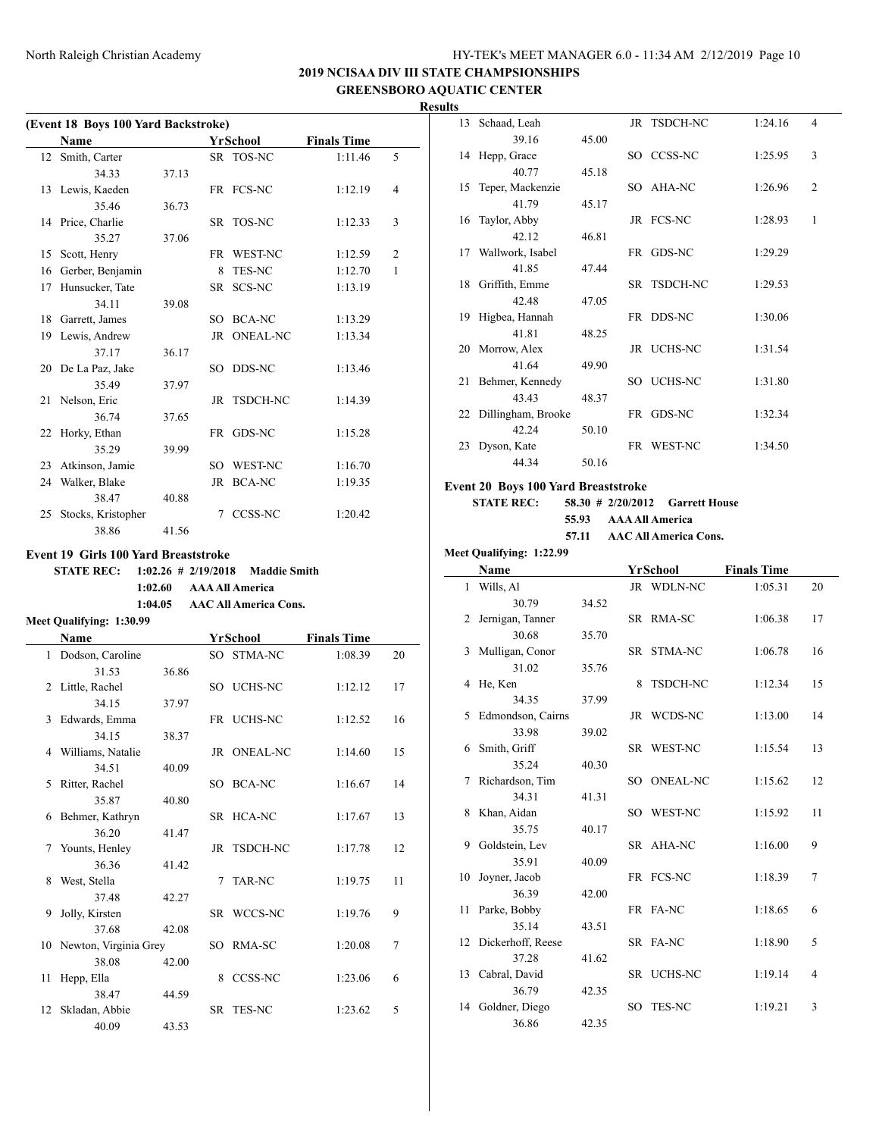# **2019 NCISAA DIV III STATE CHAMPSIONSHIPS GREENSBORO AQUATIC CENTER**

**Results**

| (Event 18 Boys 100 Yard Backstroke) |                    |       |     |                 |                    |                |  |  |
|-------------------------------------|--------------------|-------|-----|-----------------|--------------------|----------------|--|--|
|                                     | Name               |       |     | <b>YrSchool</b> | <b>Finals Time</b> |                |  |  |
|                                     | 12 Smith, Carter   |       |     | SR TOS-NC       | 1:11.46            | 5              |  |  |
|                                     | 34.33              | 37.13 |     |                 |                    |                |  |  |
|                                     | 13 Lewis, Kaeden   |       |     | FR FCS-NC       | 1:12.19            | 4              |  |  |
|                                     | 35.46              | 36.73 |     |                 |                    |                |  |  |
|                                     | 14 Price, Charlie  |       |     | SR TOS-NC       | 1:12.33            | 3              |  |  |
|                                     | 35.27              | 37.06 |     |                 |                    |                |  |  |
| 15                                  | Scott, Henry       |       |     | FR WEST-NC      | 1:12.59            | $\overline{2}$ |  |  |
| 16                                  | Gerber, Benjamin   |       | 8   | <b>TES-NC</b>   | 1:12.70            | 1              |  |  |
| 17                                  | Hunsucker, Tate    |       |     | SR SCS-NC       | 1:13.19            |                |  |  |
|                                     | 34.11              | 39.08 |     |                 |                    |                |  |  |
| 18                                  | Garrett, James     |       | SO. | <b>BCA-NC</b>   | 1:13.29            |                |  |  |
|                                     | 19 Lewis, Andrew   |       |     | JR ONEAL-NC     | 1:13.34            |                |  |  |
|                                     | 37.17              | 36.17 |     |                 |                    |                |  |  |
|                                     | 20 De La Paz, Jake |       |     | SO DDS-NC       | 1:13.46            |                |  |  |
|                                     | 35.49              | 37.97 |     |                 |                    |                |  |  |
|                                     | 21 Nelson, Eric    |       |     | JR TSDCH-NC     | 1:14.39            |                |  |  |
|                                     | 36.74              | 37.65 |     |                 |                    |                |  |  |
|                                     | 22 Horky, Ethan    |       |     | FR GDS-NC       | 1:15.28            |                |  |  |
|                                     | 35.29              | 39.99 |     |                 |                    |                |  |  |
| 23                                  | Atkinson, Jamie    |       |     | SO WEST-NC      | 1:16.70            |                |  |  |
| 24                                  | Walker, Blake      |       |     | JR BCA-NC       | 1:19.35            |                |  |  |
|                                     | 38.47              | 40.88 |     |                 |                    |                |  |  |
| 25                                  | Stocks, Kristopher |       | 7   | CCSS-NC         | 1:20.42            |                |  |  |
|                                     | 38.86              | 41.56 |     |                 |                    |                |  |  |

#### **Event 19 Girls 100 Yard Breaststroke**

**STATE REC: 1:02.26 # 2/19/2018 Maddie Smith 1:02.60 AAA All America 1:04.05 AAC All America Cons.**

#### **Meet Qualifying: 1:30.99**

 $\overline{a}$ 

|                 | <b>Name</b>              |       |   | YrSchool       | <b>Finals Time</b> |    |
|-----------------|--------------------------|-------|---|----------------|--------------------|----|
| $\mathbf{1}$    | Dodson, Caroline         |       |   | SO STMA-NC     | 1:08.39            | 20 |
|                 | 31.53                    | 36.86 |   |                |                    |    |
| 2               | Little, Rachel           |       |   | SO UCHS-NC     | 1:12.12            | 17 |
|                 | 34.15                    | 37.97 |   |                |                    |    |
| 3               | Edwards, Emma            |       |   | FR UCHS-NC     | 1:12.52            | 16 |
|                 | 34.15                    | 38.37 |   |                |                    |    |
|                 | 4 Williams, Natalie      |       |   | JR ONEAL-NC    | 1:14.60            | 15 |
|                 | 34.51                    | 40.09 |   |                |                    |    |
| 5.              | Ritter, Rachel           |       |   | SO BCA-NC      | 1:16.67            | 14 |
|                 | 35.87                    | 40.80 |   |                |                    |    |
|                 | 6 Behmer, Kathryn        |       |   | SR HCA-NC      | 1:17.67            | 13 |
|                 | 36.20                    | 41.47 |   |                |                    |    |
| 7               | Younts, Henley           |       |   | JR TSDCH-NC    | 1:17.78            | 12 |
|                 | 36.36                    | 41.42 |   |                |                    |    |
| 8               | West, Stella             |       | 7 | TAR-NC         | 1:19.75            | 11 |
|                 | 37.48                    | 42.27 |   |                |                    |    |
| 9               | Jolly, Kirsten           |       |   | SR WCCS-NC     | 1:19.76            | 9  |
|                 | 37.68                    | 42.08 |   |                |                    |    |
|                 | 10 Newton, Virginia Grey |       |   | SO RMA-SC      | 1:20.08            | 7  |
|                 | 38.08                    | 42.00 |   |                |                    |    |
| 11              | Hepp, Ella               |       | 8 | <b>CCSS-NC</b> | 1:23.06            | 6  |
|                 | 38.47                    | 44.59 |   |                |                    |    |
| 12 <sup>2</sup> | Skladan, Abbie           |       |   | SR TES-NC      | 1:23.62            | 5  |
|                 | 40.09                    | 43.53 |   |                |                    |    |

| 13  | Schaad, Leah          |       | JR TSDCH-NC | 1:24.16 | 4              |
|-----|-----------------------|-------|-------------|---------|----------------|
|     | 39.16                 | 45.00 |             |         |                |
|     | 14 Hepp, Grace        |       | SO CCSS-NC  | 1:25.95 | 3              |
|     | 40.77                 | 45.18 |             |         |                |
|     | 15 Teper, Mackenzie   |       | SO AHA-NC   | 1:26.96 | $\overline{2}$ |
|     | 41.79                 | 45.17 |             |         |                |
| 16  | Taylor, Abby          |       | JR FCS-NC   | 1:28.93 | 1              |
|     | 42.12                 | 46.81 |             |         |                |
|     | 17 Wallwork, Isabel   |       | FR GDS-NC   | 1:29.29 |                |
|     | 41.85                 | 47.44 |             |         |                |
|     | 18 Griffith, Emme     |       | SR TSDCH-NC | 1:29.53 |                |
|     | 42.48                 | 47.05 |             |         |                |
| 19. | Higbea, Hannah        |       | FR DDS-NC   | 1:30.06 |                |
|     | 41.81                 | 48.25 |             |         |                |
|     | 20 Morrow, Alex       |       | JR UCHS-NC  | 1:31.54 |                |
|     | 41.64                 | 49.90 |             |         |                |
| 21  | Behmer, Kennedy       |       | SO UCHS-NC  | 1:31.80 |                |
|     | 43.43                 | 48.37 |             |         |                |
|     | 22 Dillingham, Brooke |       | FR GDS-NC   | 1:32.34 |                |
|     | 42.24                 | 50.10 |             |         |                |
| 23  | Dyson, Kate           |       | FR WEST-NC  | 1:34.50 |                |
|     | 44.34                 | 50.16 |             |         |                |

# **Event 20 Boys 100 Yard Breaststroke**

**STATE REC: 58.30 # 2/20/2012 Garrett House 55.93 AAA All America**

- **57.11 AAC All America Cons.**
- **Meet Qualifying: 1:22.99**

|    | Name                 |       |     | YrSchool        | <b>Finals Time</b> |    |
|----|----------------------|-------|-----|-----------------|--------------------|----|
|    | 1 Wills, Al          |       |     | JR WDLN-NC      | 1:05.31            | 20 |
|    | 30.79                | 34.52 |     |                 |                    |    |
| 2  | Jernigan, Tanner     |       |     | SR RMA-SC       | 1:06.38            | 17 |
|    | 30.68                | 35.70 |     |                 |                    |    |
| 3  | Mulligan, Conor      |       |     | SR STMA-NC      | 1:06.78            | 16 |
|    | 31.02                | 35.76 |     |                 |                    |    |
| 4  | He, Ken              |       | 8   | <b>TSDCH-NC</b> | 1:12.34            | 15 |
|    | 34.35                | 37.99 |     |                 |                    |    |
| 5  | Edmondson, Cairns    |       |     | JR WCDS-NC      | 1:13.00            | 14 |
|    | 33.98                | 39.02 |     |                 |                    |    |
| 6  | Smith, Griff         |       |     | SR WEST-NC      | 1:15.54            | 13 |
|    | 35.24                | 40.30 |     |                 |                    |    |
| 7  | Richardson, Tim      |       |     | SO ONEAL-NC     | 1:15.62            | 12 |
|    | 34.31                | 41.31 |     |                 |                    |    |
| 8  | Khan, Aidan          |       |     | SO WEST-NC      | 1:15.92            | 11 |
|    | 35.75                | 40.17 |     |                 |                    |    |
| 9  | Goldstein, Lev       |       |     | SR AHA-NC       | 1:16.00            | 9  |
|    | 35.91                | 40.09 |     |                 |                    |    |
| 10 | Joyner, Jacob        |       |     | FR FCS-NC       | 1:18.39            | 7  |
|    | 36.39                | 42.00 |     |                 |                    |    |
| 11 | Parke, Bobby         |       |     | FR FA-NC        | 1:18.65            | 6  |
|    | 35.14                | 43.51 |     |                 |                    |    |
|    | 12 Dickerhoff, Reese |       |     | SR FA-NC        | 1:18.90            | 5  |
|    | 37.28                | 41.62 |     |                 |                    |    |
|    | 13 Cabral, David     |       |     | SR UCHS-NC      | 1:19.14            | 4  |
|    | 36.79                | 42.35 |     |                 |                    |    |
|    | 14 Goldner, Diego    |       | SO. | <b>TES-NC</b>   | 1:19.21            | 3  |
|    | 36.86                | 42.35 |     |                 |                    |    |
|    |                      |       |     |                 |                    |    |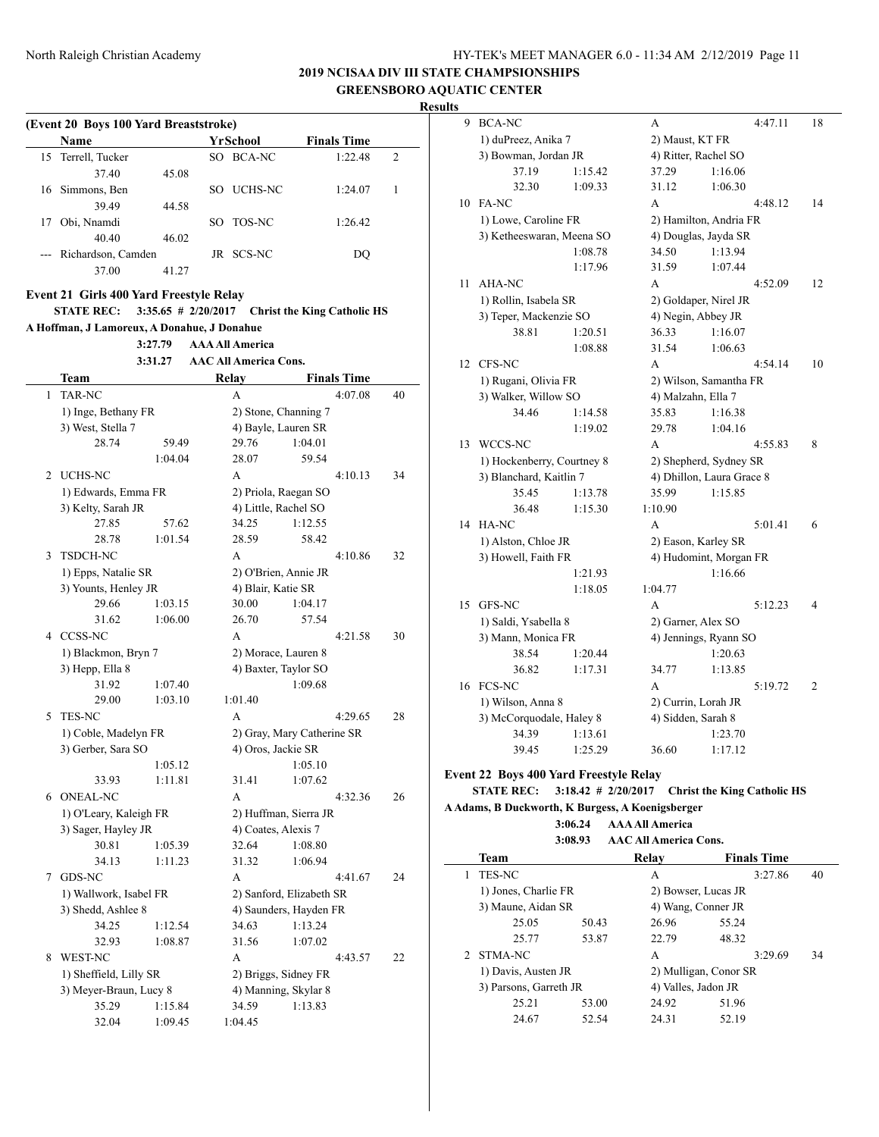**2019 NCISAA DIV III STATE CHAMPSIONSHIPS GREENSBORO AQUATIC CENTER**

**Results**

|    | Name                                                         |                       |    | <b>YrSchool</b>              | <b>Finals Time</b>                 |    |
|----|--------------------------------------------------------------|-----------------------|----|------------------------------|------------------------------------|----|
| 15 | Terrell, Tucker                                              |                       |    | SO BCA-NC                    | 1:22.48                            | 2  |
|    | 37.40                                                        | 45.08                 |    |                              |                                    |    |
| 16 | Simmons, Ben                                                 |                       | SO | UCHS-NC                      | 1:24.07                            | 1  |
|    | 39.49                                                        | 44.58                 |    |                              |                                    |    |
| 17 | Obi, Nnamdi                                                  |                       | SO | TOS-NC                       | 1:26.42                            |    |
|    | 40.40                                                        | 46.02                 |    |                              |                                    |    |
|    | --- Richardson, Camden                                       |                       |    | JR SCS-NC                    | DQ                                 |    |
|    | 37.00                                                        | 41.27                 |    |                              |                                    |    |
|    |                                                              |                       |    |                              |                                    |    |
|    | Event 21 Girls 400 Yard Freestyle Relay<br><b>STATE REC:</b> | $3:35.65$ # 2/20/2017 |    |                              | <b>Christ the King Catholic HS</b> |    |
|    | A Hoffman, J Lamoreux, A Donahue, J Donahue                  |                       |    |                              |                                    |    |
|    |                                                              | 3:27.79               |    | <b>AAA All America</b>       |                                    |    |
|    |                                                              | 3:31.27               |    | <b>AAC All America Cons.</b> |                                    |    |
|    |                                                              |                       |    |                              |                                    |    |
|    | Team                                                         |                       |    | Relay                        | <b>Finals Time</b>                 |    |
| 1  | <b>TAR-NC</b>                                                |                       |    | A                            | 4:07.08                            | 40 |
|    | 1) Inge, Bethany FR                                          |                       |    | 2) Stone, Channing 7         |                                    |    |
|    | 3) West, Stella 7                                            |                       |    | 4) Bayle, Lauren SR          |                                    |    |
|    | 28.74                                                        | 59.49                 |    | 29.76                        | 1:04.01                            |    |
|    |                                                              | 1:04.04               |    | 28.07                        | 59.54                              |    |
|    | 2 UCHS-NC                                                    |                       |    | А                            | 4:10.13                            | 34 |
|    | 1) Edwards, Emma FR                                          |                       |    | 2) Priola, Raegan SO         |                                    |    |
|    | 3) Kelty, Sarah JR                                           |                       |    | 4) Little, Rachel SO         |                                    |    |
|    | 27.85                                                        | 57.62                 |    | 34.25                        | 1:12.55                            |    |
|    | 28.78                                                        | 1:01.54               |    | 28.59                        | 58.42                              |    |
| 3  | TSDCH-NC                                                     |                       |    | A                            | 4:10.86                            | 32 |
|    | 1) Epps, Natalie SR                                          |                       |    | 2) O'Brien, Annie JR         |                                    |    |
|    | 3) Younts, Henley JR                                         |                       |    | 4) Blair, Katie SR           |                                    |    |
|    | 29.66                                                        | 1:03.15               |    | 30.00                        | 1:04.17                            |    |
|    | 31.62                                                        | 1:06.00               |    | 26.70                        | 57.54                              |    |
|    | 4 CCSS-NC                                                    |                       |    | A                            | 4:21.58                            | 30 |
|    | 1) Blackmon, Bryn 7                                          |                       |    | 2) Morace, Lauren 8          |                                    |    |
|    | 3) Hepp, Ella 8                                              |                       |    | 4) Baxter, Taylor SO         |                                    |    |
|    | 31.92                                                        | 1:07.40               |    |                              | 1:09.68                            |    |
|    | 29.00                                                        | 1:03.10               |    | 1:01.40                      |                                    |    |
| 5  | <b>TES-NC</b>                                                |                       |    | A                            | 4:29.65                            | 28 |
|    | 1) Coble, Madelyn FR                                         |                       |    |                              | 2) Gray, Mary Catherine SR         |    |
|    | 3) Gerber, Sara SO                                           |                       |    | 4) Oros, Jackie SR           |                                    |    |
|    |                                                              | 1:05.12               |    |                              | 1:05.10                            |    |
|    | 33.93                                                        | 1:11.81               |    | 31.41                        | 1:07.62                            |    |
|    | 6 ONEAL-NC                                                   |                       |    | A                            | 4:32.36                            | 26 |
|    | 1) O'Leary, Kaleigh FR                                       |                       |    | 2) Huffman, Sierra JR        |                                    |    |
|    | 3) Sager, Hayley JR                                          |                       |    | 4) Coates, Alexis 7          |                                    |    |
|    | 30.81                                                        | 1:05.39               |    | 32.64                        | 1:08.80                            |    |
|    | 34.13                                                        | 1:11.23               |    | 31.32                        | 1:06.94                            |    |
|    | 7 GDS-NC                                                     |                       |    | A                            | 4:41.67                            | 24 |
|    | 1) Wallwork, Isabel FR                                       |                       |    |                              | 2) Sanford, Elizabeth SR           |    |
|    | 3) Shedd, Ashlee 8                                           |                       |    |                              | 4) Saunders, Hayden FR             |    |
|    | 34.25                                                        | 1:12.54               |    | 34.63                        | 1:13.24                            |    |
|    | 32.93                                                        | 1:08.87               |    | 31.56                        | 1:07.02                            |    |
|    | 8 WEST-NC                                                    |                       |    | А                            | 4:43.57                            | 22 |
|    | 1) Sheffield, Lilly SR                                       |                       |    | 2) Briggs, Sidney FR         |                                    |    |
|    | 3) Meyer-Braun, Lucy 8                                       |                       |    | 4) Manning, Skylar 8         |                                    |    |
|    |                                                              |                       |    |                              |                                    |    |
|    | 35.29                                                        | 1:15.84               |    | 34.59                        | 1:13.83                            |    |

| 9  | <b>BCA-NC</b>                                 |         | А                  |                           | 4:47.11 | 18                       |
|----|-----------------------------------------------|---------|--------------------|---------------------------|---------|--------------------------|
|    | 1) duPreez, Anika 7                           |         |                    | 2) Maust, KT FR           |         |                          |
|    | 3) Bowman, Jordan JR                          |         |                    | 4) Ritter, Rachel SO      |         |                          |
|    | 37.19                                         | 1:15.42 | 37.29              | 1:16.06                   |         |                          |
|    | 32.30                                         | 1:09.33 | 31.12              | 1:06.30                   |         |                          |
|    | 10 FA-NC                                      |         | A                  |                           | 4:48.12 | 14                       |
|    | 1) Lowe, Caroline FR                          |         |                    | 2) Hamilton, Andria FR    |         |                          |
|    | 3) Ketheeswaran, Meena SO                     |         |                    | 4) Douglas, Jayda SR      |         |                          |
|    |                                               | 1:08.78 | 34.50              | 1:13.94                   |         |                          |
|    |                                               | 1:17.96 | 31.59              | 1:07.44                   |         |                          |
| 11 | AHA-NC                                        |         | A                  |                           | 4:52.09 | 12                       |
|    | 1) Rollin, Isabela SR                         |         |                    | 2) Goldaper, Nirel JR     |         |                          |
|    | 3) Teper, Mackenzie SO                        |         |                    | 4) Negin, Abbey JR        |         |                          |
|    | 38.81                                         | 1:20.51 | 36.33              | 1:16.07                   |         |                          |
|    |                                               | 1:08.88 | 31.54              | 1:06.63                   |         |                          |
| 12 | CFS-NC                                        |         | A                  |                           | 4:54.14 | 10                       |
|    | 1) Rugani, Olivia FR                          |         |                    | 2) Wilson, Samantha FR    |         |                          |
|    | 3) Walker, Willow SO                          |         | 4) Malzahn, Ella 7 |                           |         |                          |
|    | 34.46                                         | 1:14.58 | 35.83              | 1:16.38                   |         |                          |
|    |                                               | 1:19.02 | 29.78              | 1:04.16                   |         |                          |
| 13 | WCCS-NC                                       |         | A                  |                           | 4:55.83 | 8                        |
|    | 1) Hockenberry, Courtney 8                    |         |                    | 2) Shepherd, Sydney SR    |         |                          |
|    | 3) Blanchard, Kaitlin 7                       |         |                    | 4) Dhillon, Laura Grace 8 |         |                          |
|    | 35.45                                         | 1:13.78 | 35.99              | 1:15.85                   |         |                          |
|    | 36.48                                         | 1:15.30 | 1:10.90            |                           |         |                          |
|    | 14 HA-NC                                      |         | A                  |                           | 5:01.41 | 6                        |
|    | 1) Alston, Chloe JR                           |         |                    | 2) Eason, Karley SR       |         |                          |
|    | 3) Howell, Faith FR                           |         |                    | 4) Hudomint, Morgan FR    |         |                          |
|    |                                               | 1:21.93 |                    | 1:16.66                   |         |                          |
|    |                                               | 1:18.05 | 1:04.77            |                           |         |                          |
| 15 | <b>GFS-NC</b>                                 |         | A                  |                           | 5:12.23 | $\overline{\mathcal{A}}$ |
|    | 1) Saldi, Ysabella 8                          |         |                    | 2) Garner, Alex SO        |         |                          |
|    | 3) Mann, Monica FR                            |         |                    | 4) Jennings, Ryann SO     |         |                          |
|    | 38.54                                         | 1:20.44 |                    | 1:20.63                   |         |                          |
|    | 36.82                                         | 1:17.31 | 34.77              | 1:13.85                   |         |                          |
|    | 16 FCS-NC                                     |         | A                  |                           | 5:19.72 | $\overline{c}$           |
|    | 1) Wilson, Anna 8                             |         |                    | 2) Currin, Lorah JR       |         |                          |
|    | 3) McCorquodale, Haley 8                      |         | 4) Sidden, Sarah 8 |                           |         |                          |
|    | 34.39                                         | 1:13.61 |                    | 1:23.70                   |         |                          |
|    | 39.45                                         | 1:25.29 | 36.60              | 1:17.12                   |         |                          |
|    | <b>Event 22 Boys 400 Yard Freestyle Relay</b> |         |                    |                           |         |                          |

**STATE REC: 3:18.42 # 2/20/2017 Christ the King Catholic HS**

**A Adams, B Duckworth, K Burgess, A Koenigsberger**

 $\overline{a}$ 

**3:06.24 AAA All America**

| <b>Team</b>          |       | Relay                             |       |                                                                                                  |                                             |
|----------------------|-------|-----------------------------------|-------|--------------------------------------------------------------------------------------------------|---------------------------------------------|
| TES-NC               |       | A                                 |       | 3:27.86                                                                                          | 40                                          |
| 1) Jones, Charlie FR |       |                                   |       |                                                                                                  |                                             |
| 3) Maune, Aidan SR   |       |                                   |       |                                                                                                  |                                             |
| 25.05                | 50.43 | 26.96                             | 55.24 |                                                                                                  |                                             |
| 25.77                | 53.87 | 22.79                             | 48.32 |                                                                                                  |                                             |
| STMA-NC              |       | A                                 |       | 3:29.69                                                                                          | 34                                          |
| 1) Davis, Austen JR  |       |                                   |       |                                                                                                  |                                             |
|                      |       |                                   |       |                                                                                                  |                                             |
| 25.21                | 53.00 | 24.92                             | 51.96 |                                                                                                  |                                             |
| 24.67                | 52.54 | 24.31                             | 52.19 |                                                                                                  |                                             |
|                      |       | 3:08.93<br>3) Parsons, Garreth JR |       | <b>AAC All America Cons.</b><br>2) Bowser, Lucas JR<br>4) Wang, Conner JR<br>4) Valles, Jadon JR | <b>Finals Time</b><br>2) Mulligan, Conor SR |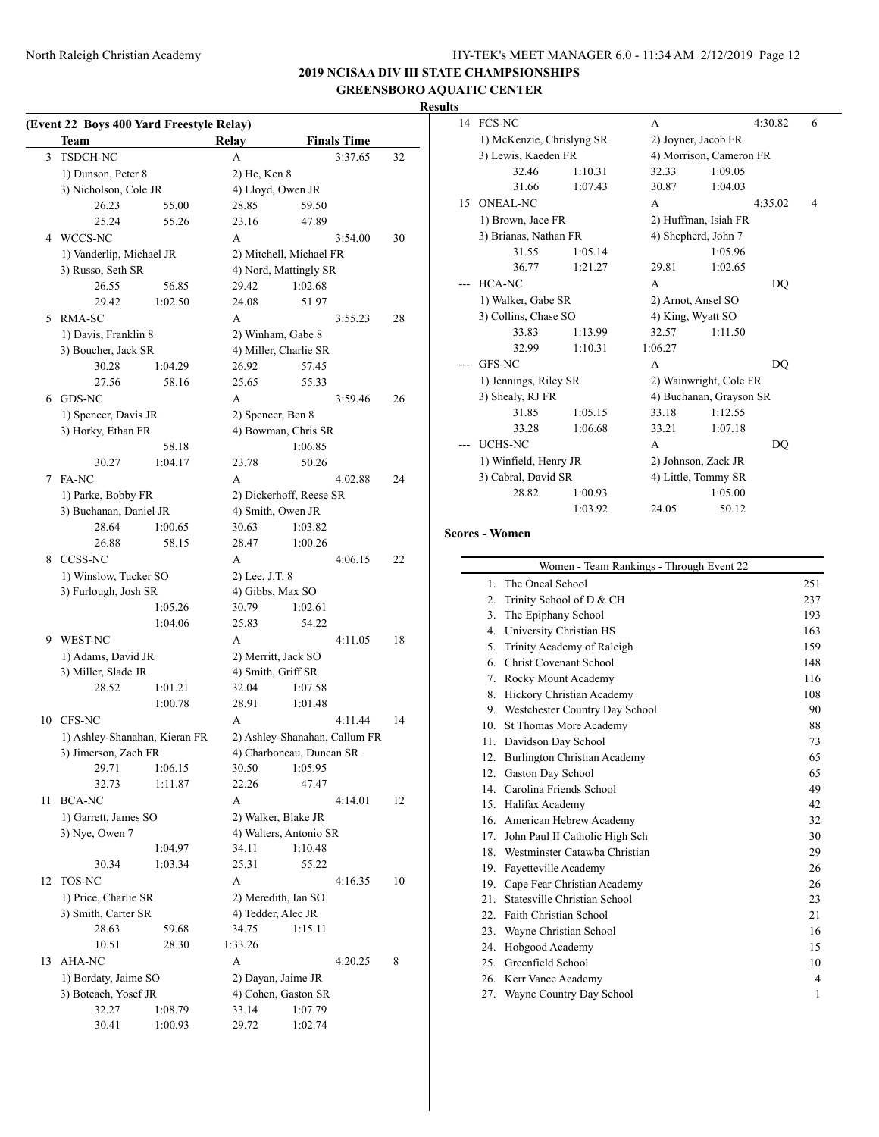# **2019 NCISAA DIV III STATE CHAMPSIONSHIPS GREENSBORO AQUATIC CENTER**

# **Results**

| (Event 22 Boys 400 Yard Freestyle Relay) |  |  |  |  |
|------------------------------------------|--|--|--|--|
|                                          |  |  |  |  |

|    | <b>Team</b>                   |         | <b>Relay</b>                  |         | <b>Finals Time</b> |    |
|----|-------------------------------|---------|-------------------------------|---------|--------------------|----|
| 3  | TSDCH-NC                      |         | А                             |         | 3:37.65            | 32 |
|    | 1) Dunson, Peter 8            |         | 2) He, Ken 8                  |         |                    |    |
|    | 3) Nicholson, Cole JR         |         | 4) Lloyd, Owen JR             |         |                    |    |
|    | 26.23                         | 55.00   | 28.85                         | 59.50   |                    |    |
|    | 25.24                         | 55.26   | 23.16                         | 47.89   |                    |    |
| 4  | WCCS-NC                       |         | A                             |         | 3:54.00            | 30 |
|    | 1) Vanderlip, Michael JR      |         | 2) Mitchell, Michael FR       |         |                    |    |
|    | 3) Russo, Seth SR             |         | 4) Nord, Mattingly SR         |         |                    |    |
|    | 26.55                         | 56.85   | 29.42                         | 1:02.68 |                    |    |
|    | 29.42                         | 1:02.50 | 24.08                         | 51.97   |                    |    |
| 5  | RMA-SC                        |         | А                             |         | 3:55.23            | 28 |
|    | 1) Davis, Franklin 8          |         | 2) Winham, Gabe 8             |         |                    |    |
|    | 3) Boucher, Jack SR           |         | 4) Miller, Charlie SR         |         |                    |    |
|    | 30.28                         | 1:04.29 | 26.92                         | 57.45   |                    |    |
|    | 27.56                         | 58.16   | 25.65                         | 55.33   |                    |    |
| 6  | GDS-NC                        |         | А                             |         | 3:59.46            | 26 |
|    | 1) Spencer, Davis JR          |         | 2) Spencer, Ben 8             |         |                    |    |
|    | 3) Horky, Ethan FR            |         | 4) Bowman, Chris SR           |         |                    |    |
|    |                               | 58.18   |                               | 1:06.85 |                    |    |
|    | 30.27                         | 1:04.17 | 23.78                         | 50.26   |                    |    |
| 7  | FA-NC                         |         | A                             |         | 4:02.88            | 24 |
|    | 1) Parke, Bobby FR            |         | 2) Dickerhoff, Reese SR       |         |                    |    |
|    | 3) Buchanan, Daniel JR        |         | 4) Smith, Owen JR             |         |                    |    |
|    | 28.64                         | 1:00.65 | 30.63                         | 1:03.82 |                    |    |
|    | 26.88                         | 58.15   | 28.47                         | 1:00.26 |                    |    |
| 8  | <b>CCSS-NC</b>                |         | A                             |         | 4:06.15            | 22 |
|    | 1) Winslow, Tucker SO         |         | 2) Lee, J.T. 8                |         |                    |    |
|    | 3) Furlough, Josh SR          |         | 4) Gibbs, Max SO              |         |                    |    |
|    |                               | 1:05.26 | 30.79                         | 1:02.61 |                    |    |
|    |                               | 1:04.06 | 25.83                         | 54.22   |                    |    |
| 9  | WEST-NC                       |         | А                             |         | 4:11.05            | 18 |
|    | 1) Adams, David JR            |         | 2) Merritt, Jack SO           |         |                    |    |
|    | 3) Miller, Slade JR           |         | 4) Smith, Griff SR            |         |                    |    |
|    | 28.52                         | 1:01.21 | 32.04                         | 1:07.58 |                    |    |
|    |                               | 1:00.78 | 28.91                         | 1:01.48 |                    |    |
| 10 | CFS-NC                        |         | A                             |         | 4:11.44            | 14 |
|    | 1) Ashley-Shanahan, Kieran FR |         | 2) Ashley-Shanahan, Callum FR |         |                    |    |
|    | 3) Jimerson, Zach FR          |         | 4) Charboneau, Duncan SR      |         |                    |    |
|    | 29.71                         | 1:06.15 | 30.50                         | 1:05.95 |                    |    |
|    | 32.73                         | 1:11.87 | 22.26                         | 47.47   |                    |    |
| 11 | <b>BCA-NC</b>                 |         | A                             |         | 4:14.01            | 12 |
|    | 1) Garrett, James SO          |         | 2) Walker, Blake JR           |         |                    |    |
|    | 3) Nye, Owen 7                |         | 4) Walters, Antonio SR        |         |                    |    |
|    |                               | 1:04.97 | 34.11                         | 1:10.48 |                    |    |
|    | 30.34                         | 1:03.34 | 25.31                         | 55.22   |                    |    |
| 12 | TOS-NC                        |         | А                             |         | 4:16.35            | 10 |
|    | 1) Price, Charlie SR          |         | 2) Meredith, Ian SO           |         |                    |    |
|    | 3) Smith, Carter SR           |         | 4) Tedder, Alec JR            |         |                    |    |
|    | 28.63                         | 59.68   | 34.75                         | 1:15.11 |                    |    |
|    | 10.51                         | 28.30   | 1:33.26                       |         |                    |    |
| 13 | AHA-NC                        |         | A                             |         | 4:20.25            | 8  |
|    | 1) Bordaty, Jaime SO          |         | 2) Dayan, Jaime JR            |         |                    |    |
|    | 3) Boteach, Yosef JR          |         | 4) Cohen, Gaston SR           |         |                    |    |
|    | 32.27                         | 1:08.79 | 33.14                         | 1:07.79 |                    |    |
|    | 30.41                         | 1:00.93 | 29.72                         | 1:02.74 |                    |    |

| 14 | <b>FCS-NC</b>             |                        | A                       |         | 4:30.82 | 6 |  |
|----|---------------------------|------------------------|-------------------------|---------|---------|---|--|
|    | 1) McKenzie, Chrislyng SR |                        | 2) Joyner, Jacob FR     |         |         |   |  |
|    | 3) Lewis, Kaeden FR       |                        | 4) Morrison, Cameron FR |         |         |   |  |
|    | 32.46                     | 1:10.31                | 32.33                   | 1:09.05 |         |   |  |
|    | 31.66                     | 1:07.43                | 30.87                   | 1:04.03 |         |   |  |
| 15 | <b>ONEAL-NC</b>           |                        | A                       |         | 4:35.02 | 4 |  |
|    | 1) Brown, Jace FR         |                        | 2) Huffman, Isiah FR    |         |         |   |  |
|    | 3) Brianas, Nathan FR     |                        | 4) Shepherd, John 7     |         |         |   |  |
|    | 31.55                     | 1:05.14                |                         | 1:05.96 |         |   |  |
|    | 36.77                     | 1:21.27                | 29.81                   | 1:02.65 |         |   |  |
|    | HCA-NC                    |                        | A                       |         | DO      |   |  |
|    | 1) Walker, Gabe SR        |                        | 2) Arnot, Ansel SO      |         |         |   |  |
|    | 3) Collins, Chase SO      | 4) King, Wyatt SO      |                         |         |         |   |  |
|    | 33.83                     | 1:13.99                | 32.57                   | 1:11.50 |         |   |  |
|    | 32.99                     | 1:10.31                | 1:06.27                 |         |         |   |  |
|    | <b>GFS-NC</b>             |                        | A                       |         | DO      |   |  |
|    | 1) Jennings, Riley SR     | 2) Wainwright, Cole FR |                         |         |         |   |  |
|    | 3) Shealy, RJ FR          |                        | 4) Buchanan, Grayson SR |         |         |   |  |
|    | 31.85                     | 1:05.15                | 33.18                   | 1:12.55 |         |   |  |
|    | 33.28                     | 1:06.68                | 33.21                   | 1:07.18 |         |   |  |
|    | <b>UCHS-NC</b>            |                        | A                       |         | DO      |   |  |
|    | 1) Winfield, Henry JR     | 2) Johnson, Zack JR    |                         |         |         |   |  |
|    | 3) Cabral, David SR       | 4) Little, Tommy SR    |                         |         |         |   |  |
|    | 28.82                     | 1:00.93                |                         | 1:05.00 |         |   |  |
|    |                           | 1:03.92                | 24.05                   | 50.12   |         |   |  |

# **Scores - Women**

|                  | Women - Team Rankings - Through Event 22 |     |
|------------------|------------------------------------------|-----|
| 1.               | The Oneal School                         | 251 |
| $\overline{2}$ . | Trinity School of D & CH                 | 237 |
| 3.               | The Epiphany School                      | 193 |
| 4.               | University Christian HS                  | 163 |
| 5.               | Trinity Academy of Raleigh               | 159 |
| 6.               | <b>Christ Covenant School</b>            | 148 |
| 7 <sub>1</sub>   | Rocky Mount Academy                      | 116 |
| 8.               | Hickory Christian Academy                | 108 |
| 9.               | Westchester Country Day School           | 90  |
| 10.              | <b>St Thomas More Academy</b>            | 88  |
| 11.              | Davidson Day School                      | 73  |
| 12.              | Burlington Christian Academy             | 65  |
| 12.              | Gaston Day School                        | 65  |
| 14 <sub>1</sub>  | Carolina Friends School                  | 49  |
|                  | 15. Halifax Academy                      | 42  |
| 16.              | American Hebrew Academy                  | 32  |
|                  | 17. John Paul II Catholic High Sch       | 30  |
|                  | 18. Westminster Catawba Christian        | 29  |
| 19.              | Fayetteville Academy                     | 26  |
|                  | 19. Cape Fear Christian Academy          | 26  |
| 21.              | Statesville Christian School             | 23  |
|                  | 22. Faith Christian School               | 21  |
|                  | 23. Wayne Christian School               | 16  |
| 24.              | Hobgood Academy                          | 15  |
|                  | 25. Greenfield School                    | 10  |
|                  | 26. Kerr Vance Academy                   | 4   |
|                  | 27. Wayne Country Day School             | 1   |
|                  |                                          |     |